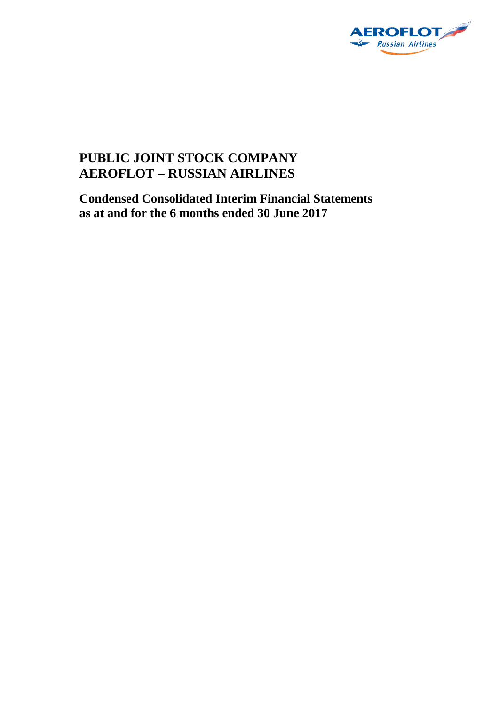

# **PUBLIC JOINT STOCK COMPANY AEROFLOT – RUSSIAN AIRLINES**

**Condensed Consolidated Interim Financial Statements as at and for the 6 months ended 30 June 2017**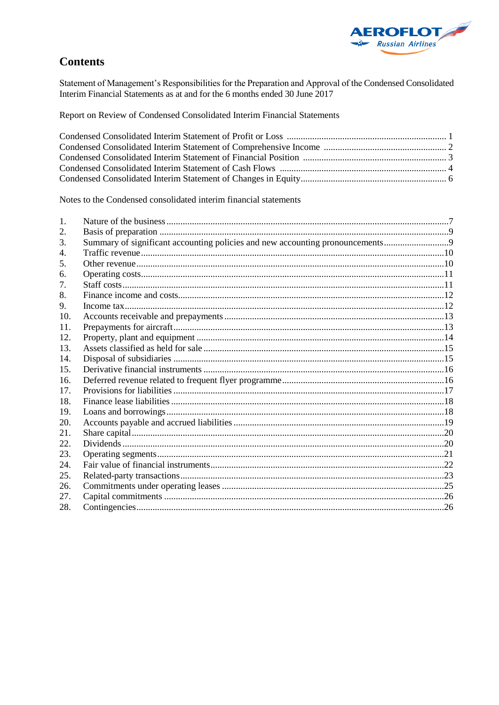

# **Contents**

Statement of Management's Responsibilities for the Preparation and Approval of the Condensed Consolidated<br>Interim Financial Statements as at and for the 6 months ended 30 June 2017

Report on Review of Condensed Consolidated Interim Financial Statements

Notes to the Condensed consolidated interim financial statements

| 1.  |                                                                               |  |
|-----|-------------------------------------------------------------------------------|--|
| 2.  |                                                                               |  |
| 3.  | Summary of significant accounting policies and new accounting pronouncements9 |  |
| 4.  |                                                                               |  |
| 5.  |                                                                               |  |
| 6.  |                                                                               |  |
| 7.  |                                                                               |  |
| 8.  |                                                                               |  |
| 9.  |                                                                               |  |
| 10. |                                                                               |  |
| 11. |                                                                               |  |
| 12. |                                                                               |  |
| 13. |                                                                               |  |
| 14. |                                                                               |  |
| 15. |                                                                               |  |
| 16. |                                                                               |  |
| 17. |                                                                               |  |
| 18. |                                                                               |  |
| 19. |                                                                               |  |
| 20. |                                                                               |  |
| 21. |                                                                               |  |
| 22  |                                                                               |  |
| 23. |                                                                               |  |
| 24. |                                                                               |  |
| 25. |                                                                               |  |
| 26. |                                                                               |  |
| 27. |                                                                               |  |
| 28. |                                                                               |  |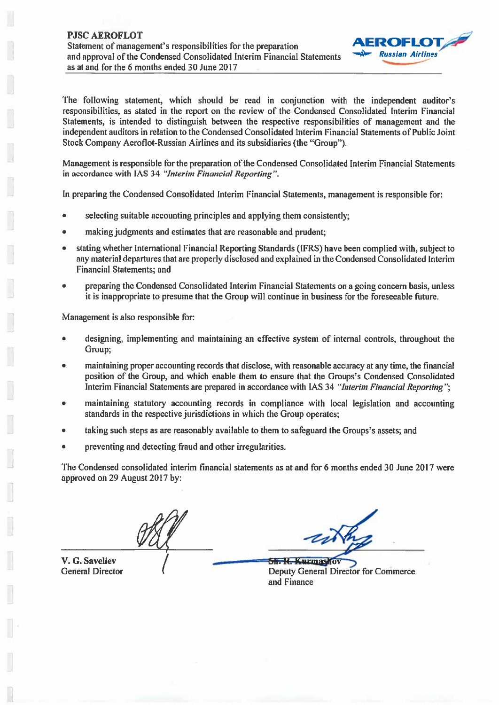

The following statement, which should be read in conjunction with the independent auditor's responsibilities, as stated in the report on the review of the Condensed Consolidated Interim Financial Statements, is intended to distinguish between the respective responsibilities of management and the independent auditors in relation to the Condensed Consolidated Interim Financial Statements of Public Joint Stock Company Aeroflot-Russian Airlines and its subsidiaries (the "Group").

Management is responsible for the preparation of the Condensed Consolidated Interim Financial Statements in accordance with IAS 34 "Interim Financial Reporting".

In preparing the Condensed Consolidated Interim Financial Statements, management is responsible for:

- selecting suitable accounting principles and applying them consistently;
- making judgments and estimates that are reasonable and prudent;
- stating whether International Financial Reporting Standards (IFRS) have been complied with, subject to  $\bullet$ any material departures that are properly disclosed and explained in the Condensed Consolidated Interim **Financial Statements: and**
- preparing the Condensed Consolidated Interim Financial Statements on a going concern basis, unless it is inappropriate to presume that the Group will continue in business for the foreseeable future.

Management is also responsible for:

- designing, implementing and maintaining an effective system of internal controls, throughout the Group:
- maintaining proper accounting records that disclose, with reasonable accuracy at any time, the financial position of the Group, and which enable them to ensure that the Groups's Condensed Consolidated Interim Financial Statements are prepared in accordance with IAS 34 "Interim Financial Reporting";
- maintaining statutory accounting records in compliance with local legislation and accounting standards in the respective jurisdictions in which the Group operates;
- taking such steps as are reasonably available to them to safeguard the Groups's assets; and
- preventing and detecting fraud and other irregularities.

The Condensed consolidated interim financial statements as at and for 6 months ended 30 June 2017 were approved on 29 August 2017 by:

V. G. Saveliev **General Director** 

**Sh. R. Kurmashov Deputy General Director for Commerce** and Finance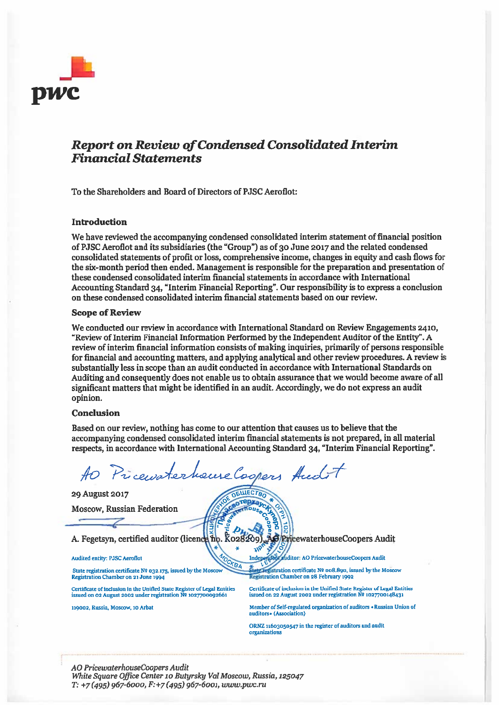

# **Report on Review of Condensed Consolidated Interim Financial Statements**

To the Shareholders and Board of Directors of PJSC Aeroflot:

#### **Introduction**

We have reviewed the accompanying condensed consolidated interim statement of financial position of PJSC Aeroflot and its subsidiaries (the "Group") as of 30 June 2017 and the related condensed consolidated statements of profit or loss, comprehensive income, changes in equity and cash flows for the six-month period then ended. Management is responsible for the preparation and presentation of these condensed consolidated interim financial statements in accordance with International Accounting Standard 34, "Interim Financial Reporting". Our responsibility is to express a conclusion on these condensed consolidated interim financial statements based on our review.

#### **Scope of Review**

We conducted our review in accordance with International Standard on Review Engagements 2410, "Review of Interim Financial Information Performed by the Independent Auditor of the Entity". A review of interim financial information consists of making inquiries, primarily of persons responsible for financial and accounting matters, and applying analytical and other review procedures. A review is substantially less in scope than an audit conducted in accordance with International Standards on Auditing and consequently does not enable us to obtain assurance that we would become aware of all significant matters that might be identified in an audit. Accordingly, we do not express an audit opinion.

#### **Conclusion**

Based on our review, nothing has come to our attention that causes us to believe that the accompanying condensed consolidated interim financial statements is not prepared, in all material respects, in accordance with International Accounting Standard 34, "Interim Financial Reporting".

> **OGLUECTBO** orepza

KBA

Pricewaterhouse Coopers Audit

29 August 2017

**Moscow, Russian Federation** 

A. Fegetsyn, certified auditor (licence np. Ko28209)

Audited entity: PJSC Aeroflot

State registration certificate Nº 032.175, issued by the Moscov Registration Chamber on 21 June 1994

Certificate of inclusion in the Unified State Register of Legal Entities issued on 02 August 2002 under registration Nº 1027700092661

119002, Russia, Moscow, 10 Arbat

ruditor: AO PricewaterhouseCoopers Audit Inden

gistration certificate Nº 008.890, issued by the Moscow Registration Chamber on 28 February 1992

Certificate of inclusion in the Unified State Register of Legal Entities issued on 22 August 2002 under registration Nº 1027700148431

**S**/PricewaterhouseCoopers Audit

Member of Self-regulated organization of auditors «Russian Union of auditors» (Association)

ORNZ 11603050547 in the register of auditors and audit organizations

AO PricewaterhouseCoopers Audit White Square Office Center 10 Butyrsky Val Moscow, Russia, 125047  $T: +7(495)$  967-6000,  $F: +7(495)$  967-6001, www.pwc.ru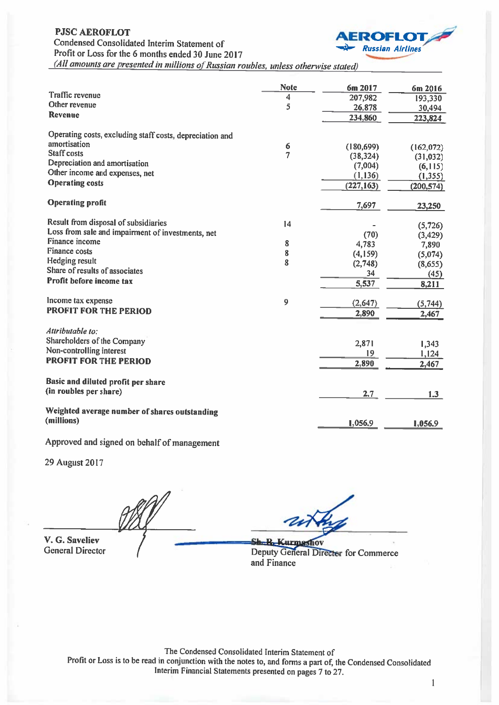

(All amounts are presented in millions of Russian roubles, unless otherwise stated)

|                                                                          | <b>Note</b>    | 6m 2017    | 6m 2016    |
|--------------------------------------------------------------------------|----------------|------------|------------|
| <b>Traffic revenue</b>                                                   | 4              | 207,982    | 193,330    |
| Other revenue                                                            | 5              | 26,878     | 30,494     |
| <b>Revenue</b>                                                           |                | 234,860    | 223,824    |
|                                                                          |                |            |            |
| Operating costs, excluding staff costs, depreciation and<br>amortisation |                |            |            |
| <b>Staff</b> costs                                                       | 6              | (180, 699) | (162,072)  |
|                                                                          | $\overline{7}$ | (38, 324)  | (31,032)   |
| Depreciation and amortisation                                            |                | (7,004)    | (6, 115)   |
| Other income and expenses, net                                           |                | (1, 136)   | (1, 355)   |
| <b>Operating costs</b>                                                   |                | (227, 163) | (200, 574) |
| <b>Operating profit</b>                                                  |                | 7,697      | 23,250     |
| Result from disposal of subsidiaries                                     | 14             |            |            |
| Loss from sale and impairment of investments, net                        |                |            | (5, 726)   |
| Finance income                                                           |                | (70)       | (3, 429)   |
| <b>Finance costs</b>                                                     | 8              | 4,783      | 7,890      |
| <b>Hedging result</b>                                                    | 8              | (4,159)    | (5,074)    |
| Share of results of associates                                           | 8              | (2,748)    | (8,655)    |
|                                                                          |                | 34         | (45)       |
| Profit before income tax                                                 |                | 5,537      | 8,211      |
| Income tax expense                                                       | 9              | (2,647)    | (5,744)    |
| <b>PROFIT FOR THE PERIOD</b>                                             |                | 2,890      | 2,467      |
| Attributable to:                                                         |                |            |            |
| Shareholders of the Company                                              |                |            |            |
| Non-controlling interest                                                 |                | 2,871      | 1,343      |
| <b>PROFIT FOR THE PERIOD</b>                                             |                | 19         | 1,124      |
|                                                                          |                | 2,890      | 2,467      |
| Basic and diluted profit per share                                       |                |            |            |
| (in roubles per share)                                                   |                | 2.7        | 1.3        |
| Weighted average number of shares outstanding                            |                |            |            |
| (millions)                                                               |                | 1,056.9    | 1,056.9    |

Approved and signed on behalf of management

**29 August 2017** 

V. G. Saveliev **General Director** 

**Sh. R. Kurmashov** Deputy General Director for Commerce and Finance

The Condensed Consolidated Interim Statement of Profit or Loss is to be read in conjunction with the notes to, and forms a part of, the Condensed Consolidated Interim Financial Statements presented on pages 7 to 27.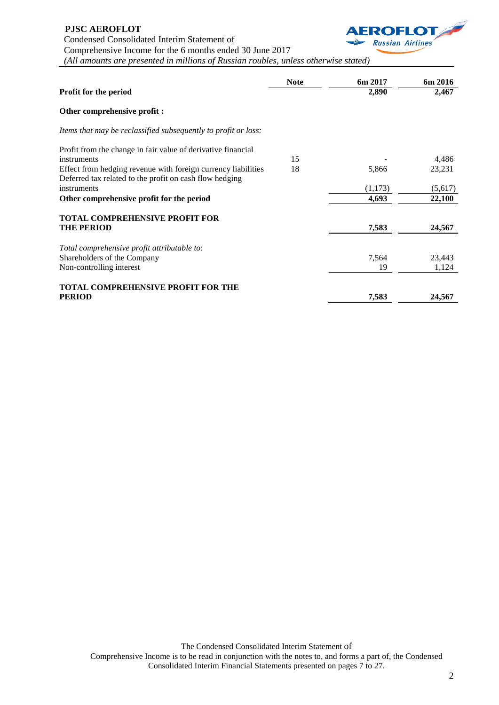### **PJSC AEROFLOT**

Condensed Consolidated Interim Statement of



Comprehensive Income for the 6 months ended 30 June 2017

*(All amounts are presented in millions of Russian roubles, unless otherwise stated)*

|                                                                | <b>Note</b> | 6m 2017 | 6m 2016 |
|----------------------------------------------------------------|-------------|---------|---------|
| Profit for the period                                          |             | 2,890   | 2,467   |
| Other comprehensive profit :                                   |             |         |         |
| Items that may be reclassified subsequently to profit or loss: |             |         |         |
| Profit from the change in fair value of derivative financial   |             |         |         |
| instruments                                                    | 15          |         | 4,486   |
| Effect from hedging revenue with foreign currency liabilities  | 18          | 5,866   | 23,231  |
| Deferred tax related to the profit on cash flow hedging        |             |         |         |
| instruments                                                    |             | (1,173) | (5,617) |
| Other comprehensive profit for the period                      |             | 4,693   | 22,100  |
| <b>TOTAL COMPREHENSIVE PROFIT FOR</b>                          |             |         |         |
| <b>THE PERIOD</b>                                              |             | 7,583   | 24,567  |
| Total comprehensive profit attributable to:                    |             |         |         |
| Shareholders of the Company                                    |             | 7,564   | 23,443  |
| Non-controlling interest                                       |             | 19      | 1,124   |
| <b>TOTAL COMPREHENSIVE PROFIT FOR THE</b>                      |             |         |         |
| <b>PERIOD</b>                                                  |             | 7,583   | 24,567  |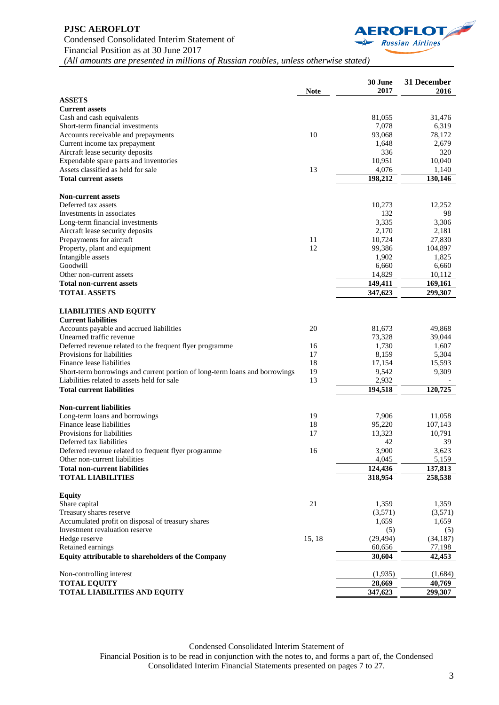

| <b>Current assets</b><br>81,055<br>31,476<br>7,078<br>6,319<br>10<br>93,068<br>78,172<br>2,679<br>Current income tax prepayment<br>1,648<br>336<br>Aircraft lease security deposits<br>320<br>Expendable spare parts and inventories<br>10,951<br>10,040<br>Assets classified as held for sale<br>13<br>4,076<br>1,140<br>198,212<br><b>Total current assets</b><br>130,146<br><b>Non-current assets</b><br>Deferred tax assets<br>12,252<br>10,273<br>132<br>98<br>Investments in associates<br>3,335<br>3,306<br>Long-term financial investments<br>Aircraft lease security deposits<br>2,170<br>2,181<br>11<br>Prepayments for aircraft<br>10,724<br>27,830<br>12<br>99,386<br>104,897<br>Property, plant and equipment<br>1,902<br>1,825<br>Goodwill<br>6,660<br>6,660<br>14,829<br>Other non-current assets<br>10,112<br>149,411<br>169,161<br><b>Total non-current assets</b><br>299,307<br>347,623<br><b>LIABILITIES AND EQUITY</b><br><b>Current liabilities</b><br>Accounts payable and accrued liabilities<br>20<br>81,673<br>49,868<br>Unearned traffic revenue<br>73,328<br>39,044<br>1,730<br>Deferred revenue related to the frequent flyer programme<br>16<br>1,607<br>17<br>8,159<br>5,304<br>Provisions for liabilities<br>18<br>Finance lease liabilities<br>17,154<br>15,593<br>Short-term borrowings and current portion of long-term loans and borrowings<br>19<br>9,309<br>9,542<br>Liabilities related to assets held for sale<br>13<br>2,932<br>194,518<br>120,725<br><b>Non-current liabilities</b><br>19<br>7,906<br>11,058<br>Long-term loans and borrowings<br>Finance lease liabilities<br>18<br>95,220<br>107,143<br>Provisions for liabilities<br>17<br>13,323<br>10,791<br>39<br>Deferred tax liabilities<br>42<br>16<br>3.900<br>3,623<br>Deferred revenue related to frequent flyer programme<br>Other non-current liabilities<br>4,045<br>5,159<br>124,436<br>137,813<br><b>Total non-current liabilities</b><br>318,954<br>258,538<br><b>TOTAL LIABILITIES</b><br>Share capital<br>21<br>1,359<br>1,359<br>Treasury shares reserve<br>(3,571)<br>(3,571)<br>Accumulated profit on disposal of treasury shares<br>1,659<br>1,659<br>Investment revaluation reserve<br>(5)<br>(5)<br>Hedge reserve<br>15, 18<br>(29, 494)<br>(34,187)<br>Retained earnings<br>60,656<br>77,198<br>30,604<br>42,453<br>(1,935)<br>Non-controlling interest<br>(1,684)<br><b>TOTAL EQUITY</b><br>28,669<br>40,769 |                                                    |             | 30 June<br>2017 | 31 December<br>2016 |
|-----------------------------------------------------------------------------------------------------------------------------------------------------------------------------------------------------------------------------------------------------------------------------------------------------------------------------------------------------------------------------------------------------------------------------------------------------------------------------------------------------------------------------------------------------------------------------------------------------------------------------------------------------------------------------------------------------------------------------------------------------------------------------------------------------------------------------------------------------------------------------------------------------------------------------------------------------------------------------------------------------------------------------------------------------------------------------------------------------------------------------------------------------------------------------------------------------------------------------------------------------------------------------------------------------------------------------------------------------------------------------------------------------------------------------------------------------------------------------------------------------------------------------------------------------------------------------------------------------------------------------------------------------------------------------------------------------------------------------------------------------------------------------------------------------------------------------------------------------------------------------------------------------------------------------------------------------------------------------------------------------------------------------------------------------------------------------------------------------------------------------------------------------------------------------------------------------------------------------------------------------------------------------------------------------------------------------------------------------------------------------------------------------------------------------------|----------------------------------------------------|-------------|-----------------|---------------------|
|                                                                                                                                                                                                                                                                                                                                                                                                                                                                                                                                                                                                                                                                                                                                                                                                                                                                                                                                                                                                                                                                                                                                                                                                                                                                                                                                                                                                                                                                                                                                                                                                                                                                                                                                                                                                                                                                                                                                                                                                                                                                                                                                                                                                                                                                                                                                                                                                                                   | <b>ASSETS</b>                                      | <b>Note</b> |                 |                     |
|                                                                                                                                                                                                                                                                                                                                                                                                                                                                                                                                                                                                                                                                                                                                                                                                                                                                                                                                                                                                                                                                                                                                                                                                                                                                                                                                                                                                                                                                                                                                                                                                                                                                                                                                                                                                                                                                                                                                                                                                                                                                                                                                                                                                                                                                                                                                                                                                                                   |                                                    |             |                 |                     |
|                                                                                                                                                                                                                                                                                                                                                                                                                                                                                                                                                                                                                                                                                                                                                                                                                                                                                                                                                                                                                                                                                                                                                                                                                                                                                                                                                                                                                                                                                                                                                                                                                                                                                                                                                                                                                                                                                                                                                                                                                                                                                                                                                                                                                                                                                                                                                                                                                                   | Cash and cash equivalents                          |             |                 |                     |
|                                                                                                                                                                                                                                                                                                                                                                                                                                                                                                                                                                                                                                                                                                                                                                                                                                                                                                                                                                                                                                                                                                                                                                                                                                                                                                                                                                                                                                                                                                                                                                                                                                                                                                                                                                                                                                                                                                                                                                                                                                                                                                                                                                                                                                                                                                                                                                                                                                   | Short-term financial investments                   |             |                 |                     |
|                                                                                                                                                                                                                                                                                                                                                                                                                                                                                                                                                                                                                                                                                                                                                                                                                                                                                                                                                                                                                                                                                                                                                                                                                                                                                                                                                                                                                                                                                                                                                                                                                                                                                                                                                                                                                                                                                                                                                                                                                                                                                                                                                                                                                                                                                                                                                                                                                                   | Accounts receivable and prepayments                |             |                 |                     |
|                                                                                                                                                                                                                                                                                                                                                                                                                                                                                                                                                                                                                                                                                                                                                                                                                                                                                                                                                                                                                                                                                                                                                                                                                                                                                                                                                                                                                                                                                                                                                                                                                                                                                                                                                                                                                                                                                                                                                                                                                                                                                                                                                                                                                                                                                                                                                                                                                                   |                                                    |             |                 |                     |
|                                                                                                                                                                                                                                                                                                                                                                                                                                                                                                                                                                                                                                                                                                                                                                                                                                                                                                                                                                                                                                                                                                                                                                                                                                                                                                                                                                                                                                                                                                                                                                                                                                                                                                                                                                                                                                                                                                                                                                                                                                                                                                                                                                                                                                                                                                                                                                                                                                   |                                                    |             |                 |                     |
|                                                                                                                                                                                                                                                                                                                                                                                                                                                                                                                                                                                                                                                                                                                                                                                                                                                                                                                                                                                                                                                                                                                                                                                                                                                                                                                                                                                                                                                                                                                                                                                                                                                                                                                                                                                                                                                                                                                                                                                                                                                                                                                                                                                                                                                                                                                                                                                                                                   |                                                    |             |                 |                     |
|                                                                                                                                                                                                                                                                                                                                                                                                                                                                                                                                                                                                                                                                                                                                                                                                                                                                                                                                                                                                                                                                                                                                                                                                                                                                                                                                                                                                                                                                                                                                                                                                                                                                                                                                                                                                                                                                                                                                                                                                                                                                                                                                                                                                                                                                                                                                                                                                                                   |                                                    |             |                 |                     |
|                                                                                                                                                                                                                                                                                                                                                                                                                                                                                                                                                                                                                                                                                                                                                                                                                                                                                                                                                                                                                                                                                                                                                                                                                                                                                                                                                                                                                                                                                                                                                                                                                                                                                                                                                                                                                                                                                                                                                                                                                                                                                                                                                                                                                                                                                                                                                                                                                                   |                                                    |             |                 |                     |
|                                                                                                                                                                                                                                                                                                                                                                                                                                                                                                                                                                                                                                                                                                                                                                                                                                                                                                                                                                                                                                                                                                                                                                                                                                                                                                                                                                                                                                                                                                                                                                                                                                                                                                                                                                                                                                                                                                                                                                                                                                                                                                                                                                                                                                                                                                                                                                                                                                   |                                                    |             |                 |                     |
|                                                                                                                                                                                                                                                                                                                                                                                                                                                                                                                                                                                                                                                                                                                                                                                                                                                                                                                                                                                                                                                                                                                                                                                                                                                                                                                                                                                                                                                                                                                                                                                                                                                                                                                                                                                                                                                                                                                                                                                                                                                                                                                                                                                                                                                                                                                                                                                                                                   |                                                    |             |                 |                     |
|                                                                                                                                                                                                                                                                                                                                                                                                                                                                                                                                                                                                                                                                                                                                                                                                                                                                                                                                                                                                                                                                                                                                                                                                                                                                                                                                                                                                                                                                                                                                                                                                                                                                                                                                                                                                                                                                                                                                                                                                                                                                                                                                                                                                                                                                                                                                                                                                                                   |                                                    |             |                 |                     |
|                                                                                                                                                                                                                                                                                                                                                                                                                                                                                                                                                                                                                                                                                                                                                                                                                                                                                                                                                                                                                                                                                                                                                                                                                                                                                                                                                                                                                                                                                                                                                                                                                                                                                                                                                                                                                                                                                                                                                                                                                                                                                                                                                                                                                                                                                                                                                                                                                                   |                                                    |             |                 |                     |
|                                                                                                                                                                                                                                                                                                                                                                                                                                                                                                                                                                                                                                                                                                                                                                                                                                                                                                                                                                                                                                                                                                                                                                                                                                                                                                                                                                                                                                                                                                                                                                                                                                                                                                                                                                                                                                                                                                                                                                                                                                                                                                                                                                                                                                                                                                                                                                                                                                   |                                                    |             |                 |                     |
|                                                                                                                                                                                                                                                                                                                                                                                                                                                                                                                                                                                                                                                                                                                                                                                                                                                                                                                                                                                                                                                                                                                                                                                                                                                                                                                                                                                                                                                                                                                                                                                                                                                                                                                                                                                                                                                                                                                                                                                                                                                                                                                                                                                                                                                                                                                                                                                                                                   |                                                    |             |                 |                     |
|                                                                                                                                                                                                                                                                                                                                                                                                                                                                                                                                                                                                                                                                                                                                                                                                                                                                                                                                                                                                                                                                                                                                                                                                                                                                                                                                                                                                                                                                                                                                                                                                                                                                                                                                                                                                                                                                                                                                                                                                                                                                                                                                                                                                                                                                                                                                                                                                                                   |                                                    |             |                 |                     |
|                                                                                                                                                                                                                                                                                                                                                                                                                                                                                                                                                                                                                                                                                                                                                                                                                                                                                                                                                                                                                                                                                                                                                                                                                                                                                                                                                                                                                                                                                                                                                                                                                                                                                                                                                                                                                                                                                                                                                                                                                                                                                                                                                                                                                                                                                                                                                                                                                                   | Intangible assets                                  |             |                 |                     |
|                                                                                                                                                                                                                                                                                                                                                                                                                                                                                                                                                                                                                                                                                                                                                                                                                                                                                                                                                                                                                                                                                                                                                                                                                                                                                                                                                                                                                                                                                                                                                                                                                                                                                                                                                                                                                                                                                                                                                                                                                                                                                                                                                                                                                                                                                                                                                                                                                                   |                                                    |             |                 |                     |
|                                                                                                                                                                                                                                                                                                                                                                                                                                                                                                                                                                                                                                                                                                                                                                                                                                                                                                                                                                                                                                                                                                                                                                                                                                                                                                                                                                                                                                                                                                                                                                                                                                                                                                                                                                                                                                                                                                                                                                                                                                                                                                                                                                                                                                                                                                                                                                                                                                   |                                                    |             |                 |                     |
|                                                                                                                                                                                                                                                                                                                                                                                                                                                                                                                                                                                                                                                                                                                                                                                                                                                                                                                                                                                                                                                                                                                                                                                                                                                                                                                                                                                                                                                                                                                                                                                                                                                                                                                                                                                                                                                                                                                                                                                                                                                                                                                                                                                                                                                                                                                                                                                                                                   |                                                    |             |                 |                     |
|                                                                                                                                                                                                                                                                                                                                                                                                                                                                                                                                                                                                                                                                                                                                                                                                                                                                                                                                                                                                                                                                                                                                                                                                                                                                                                                                                                                                                                                                                                                                                                                                                                                                                                                                                                                                                                                                                                                                                                                                                                                                                                                                                                                                                                                                                                                                                                                                                                   | <b>TOTAL ASSETS</b>                                |             |                 |                     |
|                                                                                                                                                                                                                                                                                                                                                                                                                                                                                                                                                                                                                                                                                                                                                                                                                                                                                                                                                                                                                                                                                                                                                                                                                                                                                                                                                                                                                                                                                                                                                                                                                                                                                                                                                                                                                                                                                                                                                                                                                                                                                                                                                                                                                                                                                                                                                                                                                                   |                                                    |             |                 |                     |
|                                                                                                                                                                                                                                                                                                                                                                                                                                                                                                                                                                                                                                                                                                                                                                                                                                                                                                                                                                                                                                                                                                                                                                                                                                                                                                                                                                                                                                                                                                                                                                                                                                                                                                                                                                                                                                                                                                                                                                                                                                                                                                                                                                                                                                                                                                                                                                                                                                   |                                                    |             |                 |                     |
|                                                                                                                                                                                                                                                                                                                                                                                                                                                                                                                                                                                                                                                                                                                                                                                                                                                                                                                                                                                                                                                                                                                                                                                                                                                                                                                                                                                                                                                                                                                                                                                                                                                                                                                                                                                                                                                                                                                                                                                                                                                                                                                                                                                                                                                                                                                                                                                                                                   |                                                    |             |                 |                     |
|                                                                                                                                                                                                                                                                                                                                                                                                                                                                                                                                                                                                                                                                                                                                                                                                                                                                                                                                                                                                                                                                                                                                                                                                                                                                                                                                                                                                                                                                                                                                                                                                                                                                                                                                                                                                                                                                                                                                                                                                                                                                                                                                                                                                                                                                                                                                                                                                                                   |                                                    |             |                 |                     |
|                                                                                                                                                                                                                                                                                                                                                                                                                                                                                                                                                                                                                                                                                                                                                                                                                                                                                                                                                                                                                                                                                                                                                                                                                                                                                                                                                                                                                                                                                                                                                                                                                                                                                                                                                                                                                                                                                                                                                                                                                                                                                                                                                                                                                                                                                                                                                                                                                                   |                                                    |             |                 |                     |
|                                                                                                                                                                                                                                                                                                                                                                                                                                                                                                                                                                                                                                                                                                                                                                                                                                                                                                                                                                                                                                                                                                                                                                                                                                                                                                                                                                                                                                                                                                                                                                                                                                                                                                                                                                                                                                                                                                                                                                                                                                                                                                                                                                                                                                                                                                                                                                                                                                   |                                                    |             |                 |                     |
|                                                                                                                                                                                                                                                                                                                                                                                                                                                                                                                                                                                                                                                                                                                                                                                                                                                                                                                                                                                                                                                                                                                                                                                                                                                                                                                                                                                                                                                                                                                                                                                                                                                                                                                                                                                                                                                                                                                                                                                                                                                                                                                                                                                                                                                                                                                                                                                                                                   |                                                    |             |                 |                     |
|                                                                                                                                                                                                                                                                                                                                                                                                                                                                                                                                                                                                                                                                                                                                                                                                                                                                                                                                                                                                                                                                                                                                                                                                                                                                                                                                                                                                                                                                                                                                                                                                                                                                                                                                                                                                                                                                                                                                                                                                                                                                                                                                                                                                                                                                                                                                                                                                                                   |                                                    |             |                 |                     |
|                                                                                                                                                                                                                                                                                                                                                                                                                                                                                                                                                                                                                                                                                                                                                                                                                                                                                                                                                                                                                                                                                                                                                                                                                                                                                                                                                                                                                                                                                                                                                                                                                                                                                                                                                                                                                                                                                                                                                                                                                                                                                                                                                                                                                                                                                                                                                                                                                                   |                                                    |             |                 |                     |
|                                                                                                                                                                                                                                                                                                                                                                                                                                                                                                                                                                                                                                                                                                                                                                                                                                                                                                                                                                                                                                                                                                                                                                                                                                                                                                                                                                                                                                                                                                                                                                                                                                                                                                                                                                                                                                                                                                                                                                                                                                                                                                                                                                                                                                                                                                                                                                                                                                   | <b>Total current liabilities</b>                   |             |                 |                     |
|                                                                                                                                                                                                                                                                                                                                                                                                                                                                                                                                                                                                                                                                                                                                                                                                                                                                                                                                                                                                                                                                                                                                                                                                                                                                                                                                                                                                                                                                                                                                                                                                                                                                                                                                                                                                                                                                                                                                                                                                                                                                                                                                                                                                                                                                                                                                                                                                                                   |                                                    |             |                 |                     |
|                                                                                                                                                                                                                                                                                                                                                                                                                                                                                                                                                                                                                                                                                                                                                                                                                                                                                                                                                                                                                                                                                                                                                                                                                                                                                                                                                                                                                                                                                                                                                                                                                                                                                                                                                                                                                                                                                                                                                                                                                                                                                                                                                                                                                                                                                                                                                                                                                                   |                                                    |             |                 |                     |
|                                                                                                                                                                                                                                                                                                                                                                                                                                                                                                                                                                                                                                                                                                                                                                                                                                                                                                                                                                                                                                                                                                                                                                                                                                                                                                                                                                                                                                                                                                                                                                                                                                                                                                                                                                                                                                                                                                                                                                                                                                                                                                                                                                                                                                                                                                                                                                                                                                   |                                                    |             |                 |                     |
|                                                                                                                                                                                                                                                                                                                                                                                                                                                                                                                                                                                                                                                                                                                                                                                                                                                                                                                                                                                                                                                                                                                                                                                                                                                                                                                                                                                                                                                                                                                                                                                                                                                                                                                                                                                                                                                                                                                                                                                                                                                                                                                                                                                                                                                                                                                                                                                                                                   |                                                    |             |                 |                     |
|                                                                                                                                                                                                                                                                                                                                                                                                                                                                                                                                                                                                                                                                                                                                                                                                                                                                                                                                                                                                                                                                                                                                                                                                                                                                                                                                                                                                                                                                                                                                                                                                                                                                                                                                                                                                                                                                                                                                                                                                                                                                                                                                                                                                                                                                                                                                                                                                                                   |                                                    |             |                 |                     |
|                                                                                                                                                                                                                                                                                                                                                                                                                                                                                                                                                                                                                                                                                                                                                                                                                                                                                                                                                                                                                                                                                                                                                                                                                                                                                                                                                                                                                                                                                                                                                                                                                                                                                                                                                                                                                                                                                                                                                                                                                                                                                                                                                                                                                                                                                                                                                                                                                                   |                                                    |             |                 |                     |
|                                                                                                                                                                                                                                                                                                                                                                                                                                                                                                                                                                                                                                                                                                                                                                                                                                                                                                                                                                                                                                                                                                                                                                                                                                                                                                                                                                                                                                                                                                                                                                                                                                                                                                                                                                                                                                                                                                                                                                                                                                                                                                                                                                                                                                                                                                                                                                                                                                   |                                                    |             |                 |                     |
|                                                                                                                                                                                                                                                                                                                                                                                                                                                                                                                                                                                                                                                                                                                                                                                                                                                                                                                                                                                                                                                                                                                                                                                                                                                                                                                                                                                                                                                                                                                                                                                                                                                                                                                                                                                                                                                                                                                                                                                                                                                                                                                                                                                                                                                                                                                                                                                                                                   |                                                    |             |                 |                     |
|                                                                                                                                                                                                                                                                                                                                                                                                                                                                                                                                                                                                                                                                                                                                                                                                                                                                                                                                                                                                                                                                                                                                                                                                                                                                                                                                                                                                                                                                                                                                                                                                                                                                                                                                                                                                                                                                                                                                                                                                                                                                                                                                                                                                                                                                                                                                                                                                                                   |                                                    |             |                 |                     |
|                                                                                                                                                                                                                                                                                                                                                                                                                                                                                                                                                                                                                                                                                                                                                                                                                                                                                                                                                                                                                                                                                                                                                                                                                                                                                                                                                                                                                                                                                                                                                                                                                                                                                                                                                                                                                                                                                                                                                                                                                                                                                                                                                                                                                                                                                                                                                                                                                                   |                                                    |             |                 |                     |
|                                                                                                                                                                                                                                                                                                                                                                                                                                                                                                                                                                                                                                                                                                                                                                                                                                                                                                                                                                                                                                                                                                                                                                                                                                                                                                                                                                                                                                                                                                                                                                                                                                                                                                                                                                                                                                                                                                                                                                                                                                                                                                                                                                                                                                                                                                                                                                                                                                   | <b>Equity</b>                                      |             |                 |                     |
|                                                                                                                                                                                                                                                                                                                                                                                                                                                                                                                                                                                                                                                                                                                                                                                                                                                                                                                                                                                                                                                                                                                                                                                                                                                                                                                                                                                                                                                                                                                                                                                                                                                                                                                                                                                                                                                                                                                                                                                                                                                                                                                                                                                                                                                                                                                                                                                                                                   |                                                    |             |                 |                     |
|                                                                                                                                                                                                                                                                                                                                                                                                                                                                                                                                                                                                                                                                                                                                                                                                                                                                                                                                                                                                                                                                                                                                                                                                                                                                                                                                                                                                                                                                                                                                                                                                                                                                                                                                                                                                                                                                                                                                                                                                                                                                                                                                                                                                                                                                                                                                                                                                                                   |                                                    |             |                 |                     |
|                                                                                                                                                                                                                                                                                                                                                                                                                                                                                                                                                                                                                                                                                                                                                                                                                                                                                                                                                                                                                                                                                                                                                                                                                                                                                                                                                                                                                                                                                                                                                                                                                                                                                                                                                                                                                                                                                                                                                                                                                                                                                                                                                                                                                                                                                                                                                                                                                                   |                                                    |             |                 |                     |
|                                                                                                                                                                                                                                                                                                                                                                                                                                                                                                                                                                                                                                                                                                                                                                                                                                                                                                                                                                                                                                                                                                                                                                                                                                                                                                                                                                                                                                                                                                                                                                                                                                                                                                                                                                                                                                                                                                                                                                                                                                                                                                                                                                                                                                                                                                                                                                                                                                   |                                                    |             |                 |                     |
|                                                                                                                                                                                                                                                                                                                                                                                                                                                                                                                                                                                                                                                                                                                                                                                                                                                                                                                                                                                                                                                                                                                                                                                                                                                                                                                                                                                                                                                                                                                                                                                                                                                                                                                                                                                                                                                                                                                                                                                                                                                                                                                                                                                                                                                                                                                                                                                                                                   |                                                    |             |                 |                     |
|                                                                                                                                                                                                                                                                                                                                                                                                                                                                                                                                                                                                                                                                                                                                                                                                                                                                                                                                                                                                                                                                                                                                                                                                                                                                                                                                                                                                                                                                                                                                                                                                                                                                                                                                                                                                                                                                                                                                                                                                                                                                                                                                                                                                                                                                                                                                                                                                                                   |                                                    |             |                 |                     |
|                                                                                                                                                                                                                                                                                                                                                                                                                                                                                                                                                                                                                                                                                                                                                                                                                                                                                                                                                                                                                                                                                                                                                                                                                                                                                                                                                                                                                                                                                                                                                                                                                                                                                                                                                                                                                                                                                                                                                                                                                                                                                                                                                                                                                                                                                                                                                                                                                                   | Equity attributable to shareholders of the Company |             |                 |                     |
|                                                                                                                                                                                                                                                                                                                                                                                                                                                                                                                                                                                                                                                                                                                                                                                                                                                                                                                                                                                                                                                                                                                                                                                                                                                                                                                                                                                                                                                                                                                                                                                                                                                                                                                                                                                                                                                                                                                                                                                                                                                                                                                                                                                                                                                                                                                                                                                                                                   |                                                    |             |                 |                     |
|                                                                                                                                                                                                                                                                                                                                                                                                                                                                                                                                                                                                                                                                                                                                                                                                                                                                                                                                                                                                                                                                                                                                                                                                                                                                                                                                                                                                                                                                                                                                                                                                                                                                                                                                                                                                                                                                                                                                                                                                                                                                                                                                                                                                                                                                                                                                                                                                                                   |                                                    |             |                 |                     |
|                                                                                                                                                                                                                                                                                                                                                                                                                                                                                                                                                                                                                                                                                                                                                                                                                                                                                                                                                                                                                                                                                                                                                                                                                                                                                                                                                                                                                                                                                                                                                                                                                                                                                                                                                                                                                                                                                                                                                                                                                                                                                                                                                                                                                                                                                                                                                                                                                                   | <b>TOTAL LIABILITIES AND EQUITY</b>                |             | 347,623         | 299,307             |

Condensed Consolidated Interim Statement of

Financial Position is to be read in conjunction with the notes to, and forms a part of, the Condensed Consolidated Interim Financial Statements presented on pages 7 to 27.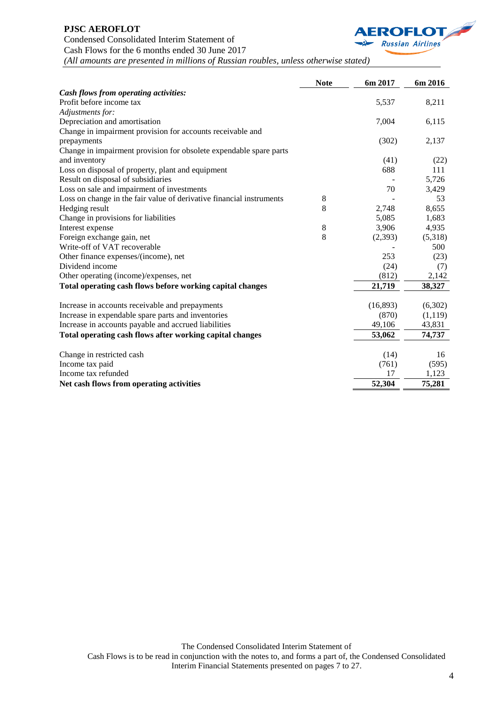# **PJSC AEROFLOT** Condensed Consolidated Interim Statement of Cash Flows for the 6 months ended 30 June 2017



*(All amounts are presented in millions of Russian roubles, unless otherwise stated)*

|                                                                      | <b>Note</b> | 6m 2017   | 6m 2016  |
|----------------------------------------------------------------------|-------------|-----------|----------|
| Cash flows from operating activities:                                |             |           |          |
| Profit before income tax                                             |             | 5,537     | 8,211    |
| Adjustments for:                                                     |             |           |          |
| Depreciation and amortisation                                        |             | 7,004     | 6,115    |
| Change in impairment provision for accounts receivable and           |             |           |          |
| prepayments                                                          |             | (302)     | 2,137    |
| Change in impairment provision for obsolete expendable spare parts   |             |           |          |
| and inventory                                                        |             | (41)      | (22)     |
| Loss on disposal of property, plant and equipment                    |             | 688       | 111      |
| Result on disposal of subsidiaries                                   |             |           | 5,726    |
| Loss on sale and impairment of investments                           |             | 70        | 3,429    |
| Loss on change in the fair value of derivative financial instruments | 8           |           | 53       |
| Hedging result                                                       | 8           | 2,748     | 8,655    |
| Change in provisions for liabilities                                 |             | 5,085     | 1,683    |
| Interest expense                                                     | 8           | 3,906     | 4,935    |
| Foreign exchange gain, net                                           | 8           | (2, 393)  | (5,318)  |
| Write-off of VAT recoverable                                         |             |           | 500      |
| Other finance expenses/(income), net                                 |             | 253       | (23)     |
| Dividend income                                                      |             | (24)      | (7)      |
| Other operating (income)/expenses, net                               |             | (812)     | 2,142    |
| Total operating cash flows before working capital changes            |             | 21,719    | 38,327   |
| Increase in accounts receivable and prepayments                      |             | (16, 893) | (6,302)  |
| Increase in expendable spare parts and inventories                   |             | (870)     | (1, 119) |
| Increase in accounts payable and accrued liabilities                 |             | 49,106    | 43,831   |
| Total operating cash flows after working capital changes             |             | 53,062    | 74,737   |
| Change in restricted cash                                            |             | (14)      | 16       |
| Income tax paid                                                      |             | (761)     | (595)    |
| Income tax refunded                                                  |             | 17        | 1,123    |
| Net cash flows from operating activities                             |             | 52,304    | 75,281   |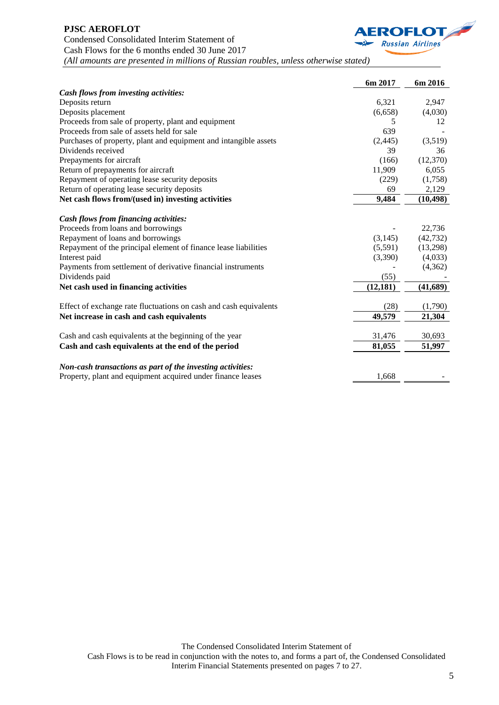

# **PJSC AEROFLOT** Condensed Consolidated Interim Statement of Cash Flows for the 6 months ended 30 June 2017 *(All amounts are presented in millions of Russian roubles, unless otherwise stated)*

|                                                                   | 6m 2017   | 6m 2016   |
|-------------------------------------------------------------------|-----------|-----------|
| Cash flows from investing activities:                             |           |           |
| Deposits return                                                   | 6,321     | 2,947     |
| Deposits placement                                                | (6,658)   | (4,030)   |
| Proceeds from sale of property, plant and equipment               | 5         | 12        |
| Proceeds from sale of assets held for sale                        | 639       |           |
| Purchases of property, plant and equipment and intangible assets  | (2,445)   | (3,519)   |
| Dividends received                                                | 39        | 36        |
| Prepayments for aircraft                                          | (166)     | (12,370)  |
| Return of prepayments for aircraft                                | 11,909    | 6,055     |
| Repayment of operating lease security deposits                    | (229)     | (1,758)   |
| Return of operating lease security deposits                       | 69        | 2,129     |
| Net cash flows from/(used in) investing activities                | 9,484     | (10, 498) |
| <b>Cash flows from financing activities:</b>                      |           |           |
| Proceeds from loans and borrowings                                |           | 22,736    |
| Repayment of loans and borrowings                                 | (3, 145)  | (42, 732) |
| Repayment of the principal element of finance lease liabilities   | (5,591)   | (13,298)  |
| Interest paid                                                     | (3,390)   | (4,033)   |
| Payments from settlement of derivative financial instruments      |           | (4, 362)  |
| Dividends paid                                                    | (55)      |           |
| Net cash used in financing activities                             | (12, 181) | (41, 689) |
| Effect of exchange rate fluctuations on cash and cash equivalents | (28)      | (1,790)   |
| Net increase in cash and cash equivalents                         | 49,579    | 21,304    |
|                                                                   |           |           |
| Cash and cash equivalents at the beginning of the year            | 31,476    | 30,693    |
| Cash and cash equivalents at the end of the period                | 81,055    | 51,997    |
| Non-cash transactions as part of the investing activities:        |           |           |
| Property, plant and equipment acquired under finance leases       | 1,668     |           |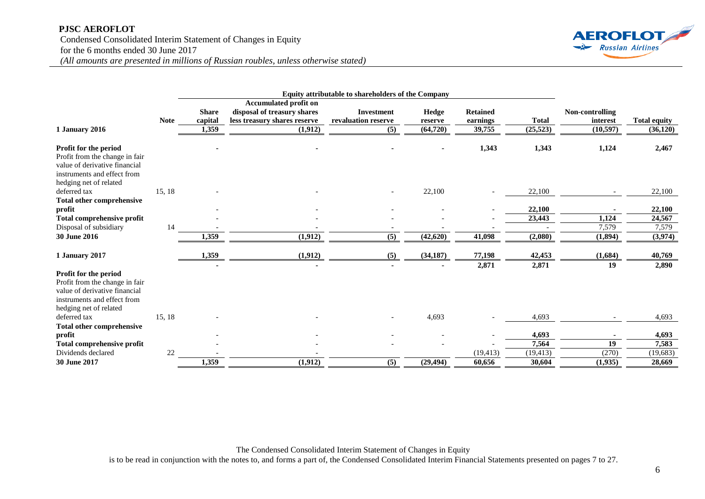#### **PJSC AEROFLOT**

Condensed Consolidated Interim Statement of Changes in Equity for the 6 months ended 30 June 2017



*(All amounts are presented in millions of Russian roubles, unless otherwise stated)*

|                                                                                                                                                   |             |              |                              | Equity attributable to shareholders of the Company |           |                 |              |                 |                     |
|---------------------------------------------------------------------------------------------------------------------------------------------------|-------------|--------------|------------------------------|----------------------------------------------------|-----------|-----------------|--------------|-----------------|---------------------|
|                                                                                                                                                   |             |              | <b>Accumulated profit on</b> |                                                    |           |                 |              |                 |                     |
|                                                                                                                                                   |             | <b>Share</b> | disposal of treasury shares  | <b>Investment</b>                                  | Hedge     | <b>Retained</b> |              | Non-controlling |                     |
|                                                                                                                                                   | <b>Note</b> | capital      | less treasury shares reserve | revaluation reserve                                | reserve   | earnings        | <b>Total</b> | interest        | <b>Total equity</b> |
| 1 January 2016                                                                                                                                    |             | 1,359        | (1,912)                      | (5)                                                | (64, 720) | 39,755          | (25, 523)    | (10, 597)       | (36, 120)           |
| Profit for the period<br>Profit from the change in fair<br>value of derivative financial<br>instruments and effect from<br>hedging net of related |             |              |                              |                                                    |           | 1,343           | 1,343        | 1,124           | 2,467               |
| deferred tax                                                                                                                                      | 15, 18      |              |                              |                                                    | 22,100    |                 | 22,100       |                 | 22,100              |
| Total other comprehensive                                                                                                                         |             |              |                              |                                                    |           |                 |              |                 |                     |
| profit                                                                                                                                            |             |              |                              |                                                    |           |                 | 22,100       |                 | 22,100              |
| Total comprehensive profit                                                                                                                        |             |              |                              |                                                    |           |                 | 23,443       | 1,124           | 24,567              |
| Disposal of subsidiary                                                                                                                            | 14          |              |                              |                                                    |           |                 |              | 7,579           | 7,579               |
| <b>30 June 2016</b>                                                                                                                               |             | 1,359        | (1, 912)                     | (5)                                                | (42, 620) | 41,098          | (2,080)      | (1,894)         | (3,974)             |
| 1 January 2017                                                                                                                                    |             | 1,359        | (1, 912)                     | (5)                                                | (34, 187) | 77,198          | 42,453       | (1,684)         | 40,769              |
|                                                                                                                                                   |             |              |                              |                                                    |           | 2,871           | 2,871        | 19              | 2,890               |
| Profit for the period<br>Profit from the change in fair<br>value of derivative financial<br>instruments and effect from<br>hedging net of related |             |              |                              |                                                    |           |                 |              |                 |                     |
| deferred tax                                                                                                                                      | 15, 18      |              |                              |                                                    | 4,693     |                 | 4,693        |                 | 4,693               |
| <b>Total other comprehensive</b>                                                                                                                  |             |              |                              |                                                    |           |                 |              |                 |                     |
| profit                                                                                                                                            |             |              |                              |                                                    |           |                 | 4,693        |                 | 4,693               |
| Total comprehensive profit                                                                                                                        |             |              |                              |                                                    |           |                 | 7,564        | 19              | 7,583               |
| Dividends declared                                                                                                                                | 22          |              |                              |                                                    |           | (19, 413)       | (19, 413)    | (270)           | (19,683)            |
| 30 June 2017                                                                                                                                      |             | 1,359        | (1,912)                      | (5)                                                | (29, 494) | 60,656          | 30,604       | (1,935)         | 28.669              |

The Condensed Consolidated Interim Statement of Changes in Equity is to be read in conjunction with the notes to, and forms a part of, the Condensed Consolidated Interim Financial Statements presented on pages 7 to 27.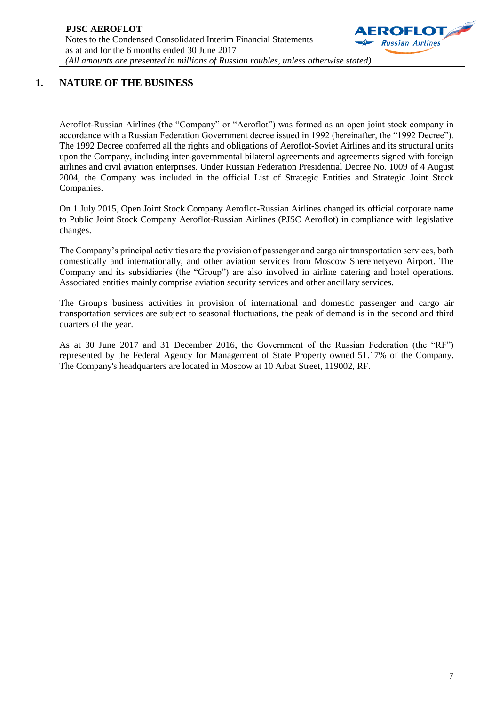

# **1. NATURE OF THE BUSINESS**

Aeroflot-Russian Airlines (the "Company" or "Aeroflot") was formed as an open joint stock company in accordance with a Russian Federation Government decree issued in 1992 (hereinafter, the "1992 Decree"). The 1992 Decree conferred all the rights and obligations of Aeroflot-Soviet Airlines and its structural units upon the Company, including inter-governmental bilateral agreements and agreements signed with foreign airlines and civil aviation enterprises. Under Russian Federation Presidential Decree No. 1009 of 4 August 2004, the Company was included in the official List of Strategic Entities and Strategic Joint Stock Companies.

On 1 July 2015, Open Joint Stock Company Aeroflot-Russian Airlines changed its official corporate name to Public Joint Stock Company Aeroflot-Russian Airlines (PJSC Aeroflot) in compliance with legislative changes.

The Company's principal activities are the provision of passenger and cargo air transportation services, both domestically and internationally, and other aviation services from Moscow Sheremetyevo Airport. The Company and its subsidiaries (the "Group") are also involved in airline catering and hotel operations. Associated entities mainly comprise aviation security services and other ancillary services.

The Group's business activities in provision of international and domestic passenger and cargo air transportation services are subject to seasonal fluctuations, the peak of demand is in the second and third quarters of the year.

As at 30 June 2017 and 31 December 2016, the Government of the Russian Federation (the "RF") represented by the Federal Agency for Management of State Property owned 51.17% of the Company. The Company's headquarters are located in Moscow at 10 Arbat Street, 119002, RF.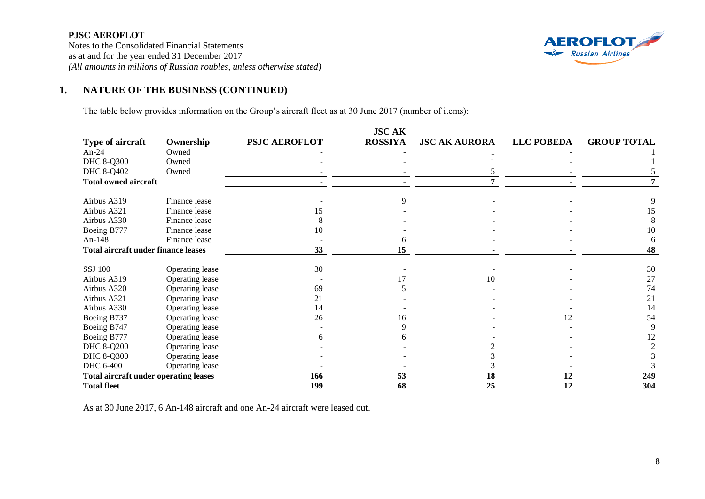

# **1. NATURE OF THE BUSINESS (CONTINUED)**

The table below provides information on the Group's aircraft fleet as at 30 June 2017 (number of items):

|                                              |                 |                      | <b>JSCAK</b>   |                      |                   |                    |
|----------------------------------------------|-----------------|----------------------|----------------|----------------------|-------------------|--------------------|
| Type of aircraft                             | Ownership       | <b>PSJC AEROFLOT</b> | <b>ROSSIYA</b> | <b>JSC AK AURORA</b> | <b>LLC POBEDA</b> | <b>GROUP TOTAL</b> |
| An- $24$                                     | Owned           |                      |                |                      |                   |                    |
| <b>DHC 8-Q300</b>                            | Owned           |                      |                |                      |                   |                    |
| DHC 8-Q402                                   | Owned           |                      |                |                      |                   |                    |
| <b>Total owned aircraft</b>                  |                 |                      |                |                      |                   |                    |
| Airbus A319                                  | Finance lease   |                      |                |                      |                   |                    |
| Airbus A321                                  | Finance lease   | 15                   |                |                      |                   | 15                 |
| Airbus A330                                  | Finance lease   |                      |                |                      |                   |                    |
| Boeing B777                                  | Finance lease   | 10                   |                |                      |                   | 10                 |
| An-148                                       | Finance lease   |                      |                |                      |                   | 6                  |
| <b>Total aircraft under finance leases</b>   |                 | 33                   | 15             |                      |                   | 48                 |
| <b>SSJ 100</b>                               | Operating lease | 30                   |                |                      |                   | 30                 |
| Airbus A319                                  | Operating lease |                      |                | 10                   |                   | 27                 |
| Airbus A320                                  | Operating lease | 69                   |                |                      |                   | 74                 |
| Airbus A321                                  | Operating lease | 21                   |                |                      |                   | 21                 |
| Airbus A330                                  | Operating lease | 14                   |                |                      |                   | 14                 |
| Boeing B737                                  | Operating lease | 26                   | 16             |                      | 12                | 54                 |
| Boeing B747                                  | Operating lease |                      |                |                      |                   |                    |
| Boeing B777                                  | Operating lease |                      |                |                      |                   | 12                 |
| <b>DHC 8-Q200</b>                            | Operating lease |                      |                |                      |                   |                    |
| <b>DHC 8-Q300</b>                            | Operating lease |                      |                |                      |                   |                    |
| DHC 6-400                                    | Operating lease |                      |                |                      |                   |                    |
| <b>Total aircraft under operating leases</b> |                 | 166                  | 53             | 18                   | 12                | 249                |
| <b>Total fleet</b>                           |                 | 199                  | 68             | 25                   | 12                | 304                |

As at 30 June 2017, 6 An-148 aircraft and one An-24 aircraft were leased out.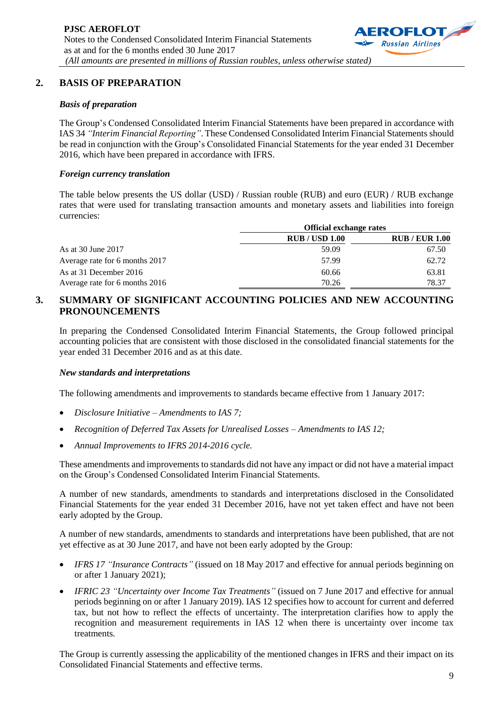

### **2. BASIS OF PREPARATION**

#### *Basis of preparation*

The Group's Condensed Consolidated Interim Financial Statements have been prepared in accordance with IAS 34 *"Interim Financial Reporting"*. These Condensed Consolidated Interim Financial Statements should be read in conjunction with the Group's Consolidated Financial Statements for the year ended 31 December 2016, which have been prepared in accordance with IFRS.

#### *Foreign currency translation*

The table below presents the US dollar (USD) / Russian rouble (RUB) and euro (EUR) / RUB exchange rates that were used for translating transaction amounts and monetary assets and liabilities into foreign currencies:

|                                | <b>Official exchange rates</b> |                       |
|--------------------------------|--------------------------------|-----------------------|
|                                | <b>RUB / USD 1.00</b>          | <b>RUB / EUR 1.00</b> |
| As at 30 June 2017             | 59.09                          | 67.50                 |
| Average rate for 6 months 2017 | 57.99                          | 62.72                 |
| As at 31 December 2016         | 60.66                          | 63.81                 |
| Average rate for 6 months 2016 | 70.26                          | 78.37                 |

### **3. SUMMARY OF SIGNIFICANT ACCOUNTING POLICIES AND NEW ACCOUNTING PRONOUNCEMENTS**

In preparing the Condensed Consolidated Interim Financial Statements, the Group followed principal accounting policies that are consistent with those disclosed in the consolidated financial statements for the year ended 31 December 2016 and as at this date.

#### *New standards and interpretations*

The following amendments and improvements to standards became effective from 1 January 2017:

- *Disclosure Initiative – Amendments to IAS 7;*
- *Recognition of Deferred Tax Assets for Unrealised Losses – Amendments to IAS 12;*
- *Annual Improvements to IFRS 2014-2016 cycle.*

These amendments and improvements to standards did not have any impact or did not have a material impact on the Group's Condensed Consolidated Interim Financial Statements.

A number of new standards, amendments to standards and interpretations disclosed in the Consolidated Financial Statements for the year ended 31 December 2016, have not yet taken effect and have not been early adopted by the Group.

A number of new standards, amendments to standards and interpretations have been published, that are not yet effective as at 30 June 2017, and have not been early adopted by the Group:

- *IFRS 17 "Insurance Contracts"* (issued on 18 May 2017 and effective for annual periods beginning on or after 1 January 2021);
- *IFRIC 23 "Uncertainty over Income Tax Treatments"* (issued on 7 June 2017 and effective for annual periods beginning on or after 1 January 2019). IAS 12 specifies how to account for current and deferred tax, but not how to reflect the effects of uncertainty. The interpretation clarifies how to apply the recognition and measurement requirements in IAS 12 when there is uncertainty over income tax treatments*.*

The Group is currently assessing the applicability of the mentioned changes in IFRS and their impact on its Consolidated Financial Statements and effective terms.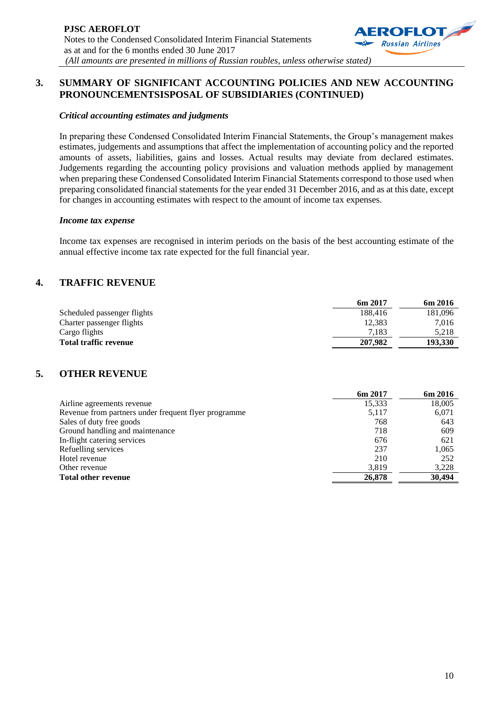

#### *Critical accounting estimates and judgments*

In preparing these Condensed Consolidated Interim Financial Statements, the Group's management makes estimates, judgements and assumptions that affect the implementation of accounting policy and the reported amounts of assets, liabilities, gains and losses. Actual results may deviate from declared estimates. Judgements regarding the accounting policy provisions and valuation methods applied by management when preparing these Condensed Consolidated Interim Financial Statements correspond to those used when preparing consolidated financial statements for the year ended 31 December 2016, and as at this date, except for changes in accounting estimates with respect to the amount of income tax expenses.

#### *Income tax expense*

Income tax expenses are recognised in interim periods on the basis of the best accounting estimate of the annual effective income tax rate expected for the full financial year.

### **4. TRAFFIC REVENUE**

|                              | 6m 2017 | 6m 2016 |
|------------------------------|---------|---------|
| Scheduled passenger flights  | 188.416 | 181,096 |
| Charter passenger flights    | 12.383  | 7.016   |
| Cargo flights                | 7.183   | 5.218   |
| <b>Total traffic revenue</b> | 207.982 | 193.330 |

### **5. OTHER REVENUE**

|                                                      | 6m 2017 | 6m 2016 |
|------------------------------------------------------|---------|---------|
| Airline agreements revenue                           | 15,333  | 18,005  |
| Revenue from partners under frequent flyer programme | 5,117   | 6,071   |
| Sales of duty free goods                             | 768     | 643     |
| Ground handling and maintenance                      | 718     | 609     |
| In-flight catering services                          | 676     | 621     |
| Refuelling services                                  | 237     | 1,065   |
| Hotel revenue                                        | 210     | 252     |
| Other revenue                                        | 3.819   | 3,228   |
| <b>Total other revenue</b>                           | 26,878  | 30,494  |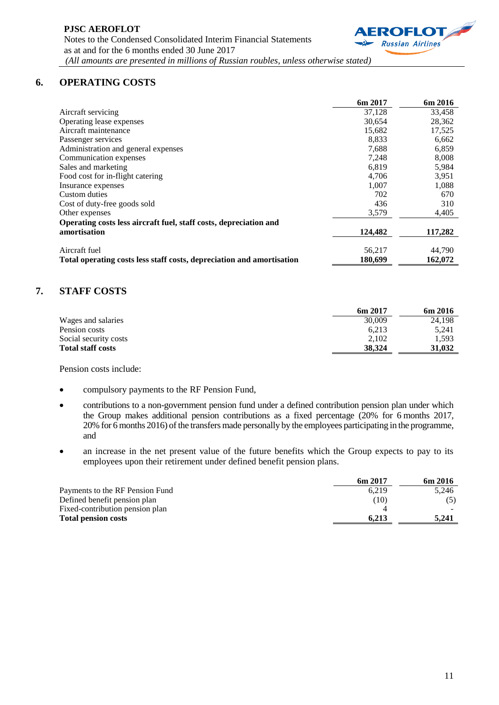

### **6. OPERATING COSTS**

|                                                                       | 6m 2017 | 6m 2016 |
|-----------------------------------------------------------------------|---------|---------|
| Aircraft servicing                                                    | 37.128  | 33,458  |
| Operating lease expenses                                              | 30,654  | 28,362  |
| Aircraft maintenance                                                  | 15,682  | 17,525  |
| Passenger services                                                    | 8,833   | 6,662   |
| Administration and general expenses                                   | 7,688   | 6,859   |
| Communication expenses                                                | 7,248   | 8,008   |
| Sales and marketing                                                   | 6,819   | 5,984   |
| Food cost for in-flight catering                                      | 4,706   | 3,951   |
| Insurance expenses                                                    | 1,007   | 1,088   |
| Custom duties                                                         | 702     | 670     |
| Cost of duty-free goods sold                                          | 436     | 310     |
| Other expenses                                                        | 3,579   | 4,405   |
| Operating costs less aircraft fuel, staff costs, depreciation and     |         |         |
| amortisation                                                          | 124,482 | 117,282 |
| Aircraft fuel                                                         | 56,217  | 44,790  |
| Total operating costs less staff costs, depreciation and amortisation | 180,699 | 162,072 |

# **7. STAFF COSTS**

|                          | 6m 2017 | 6m 2016 |
|--------------------------|---------|---------|
| Wages and salaries       | 30,009  | 24,198  |
| Pension costs            | 6.213   | 5.241   |
| Social security costs    | 2.102   | 1.593   |
| <b>Total staff costs</b> | 38.324  | 31,032  |

Pension costs include:

- compulsory payments to the RF Pension Fund,
- contributions to a non-government pension fund under a defined contribution pension plan under which the Group makes additional pension contributions as a fixed percentage (20% for 6 months 2017, 20% for 6 months 2016) of the transfers made personally by the employees participating in the programme, and
- an increase in the net present value of the future benefits which the Group expects to pay to its employees upon their retirement under defined benefit pension plans.

|                                 | 6m 2017 | 6m 2016 |
|---------------------------------|---------|---------|
| Payments to the RF Pension Fund | 6.219   | 5.246   |
| Defined benefit pension plan    | (10)    |         |
| Fixed-contribution pension plan |         |         |
| <b>Total pension costs</b>      | 6.213   | 5.241   |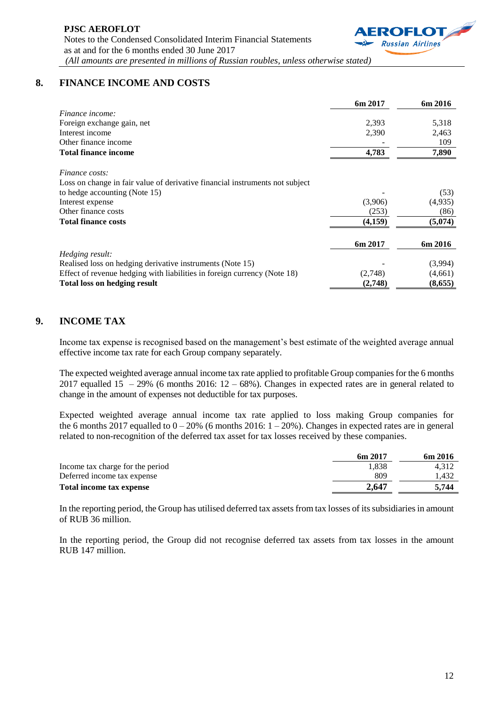

# **8. FINANCE INCOME AND COSTS**

|                                                                              | 6m 2017 | 6m 2016 |
|------------------------------------------------------------------------------|---------|---------|
| Finance income:                                                              |         |         |
| Foreign exchange gain, net                                                   | 2,393   | 5,318   |
| Interest income                                                              | 2,390   | 2,463   |
| Other finance income                                                         |         | 109     |
| <b>Total finance income</b>                                                  | 4,783   | 7,890   |
| <i>Finance costs:</i>                                                        |         |         |
| Loss on change in fair value of derivative financial instruments not subject |         |         |
| to hedge accounting (Note 15)                                                |         | (53)    |
| Interest expense                                                             | (3,906) | (4,935) |
| Other finance costs                                                          | (253)   | (86)    |
| <b>Total finance costs</b>                                                   | (4,159) | (5,074) |
|                                                                              | 6m 2017 | 6m 2016 |
| Hedging result:                                                              |         |         |
| Realised loss on hedging derivative instruments (Note 15)                    |         | (3,994) |
| Effect of revenue hedging with liabilities in foreign currency (Note 18)     | (2,748) | (4,661) |
| <b>Total loss on hedging result</b>                                          | (2,748) | (8,655) |

# **9. INCOME TAX**

Income tax expense is recognised based on the management's best estimate of the weighted average annual effective income tax rate for each Group company separately.

The expected weighted average annual income tax rate applied to profitable Group companies for the 6 months 2017 equalled 15 – 29% (6 months 2016:  $12 - 68$ %). Changes in expected rates are in general related to change in the amount of expenses not deductible for tax purposes.

Expected weighted average annual income tax rate applied to loss making Group companies for the 6 months 2017 equalled to  $0 - 20\%$  (6 months 2016:  $1 - 20\%$ ). Changes in expected rates are in general related to non-recognition of the deferred tax asset for tax losses received by these companies.

|                                  | 6m 2017 | 6m 2016 |
|----------------------------------|---------|---------|
| Income tax charge for the period | 1.838   | 4.312   |
| Deferred income tax expense      | 809     | 1.432   |
| Total income tax expense         | 2.647   | 5.744   |

In the reporting period, the Group has utilised deferred tax assets from tax losses of its subsidiaries in amount of RUB 36 million.

In the reporting period, the Group did not recognise deferred tax assets from tax losses in the amount RUB 147 million.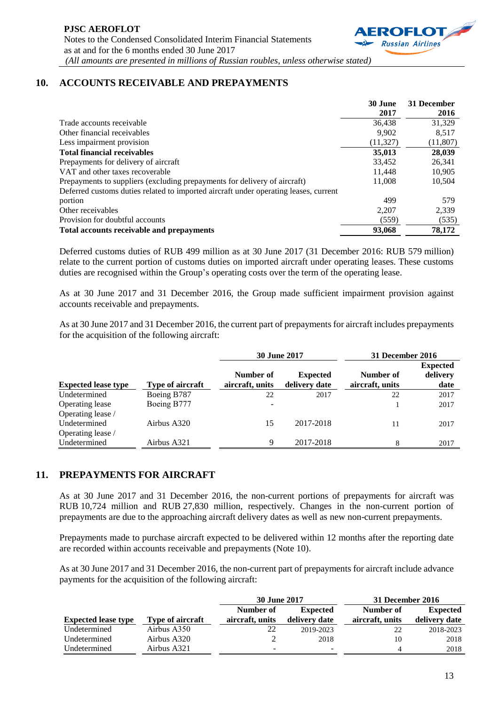

# **10. ACCOUNTS RECEIVABLE AND PREPAYMENTS**

|                                                                                      | 30 June   | 31 December |
|--------------------------------------------------------------------------------------|-----------|-------------|
|                                                                                      | 2017      | 2016        |
| Trade accounts receivable                                                            | 36,438    | 31,329      |
| Other financial receivables                                                          | 9.902     | 8,517       |
| Less impairment provision                                                            | (11, 327) | (11,807)    |
| <b>Total financial receivables</b>                                                   | 35,013    | 28,039      |
| Prepayments for delivery of aircraft                                                 | 33,452    | 26,341      |
| VAT and other taxes recoverable                                                      | 11.448    | 10,905      |
| Prepayments to suppliers (excluding prepayments for delivery of aircraft)            | 11,008    | 10,504      |
| Deferred customs duties related to imported aircraft under operating leases, current |           |             |
| portion                                                                              | 499       | 579         |
| Other receivables                                                                    | 2.207     | 2,339       |
| Provision for doubtful accounts                                                      | (559)     | (535)       |
| Total accounts receivable and prepayments                                            | 93,068    | 78,172      |

Deferred customs duties of RUB 499 million as at 30 June 2017 (31 December 2016: RUB 579 million) relate to the current portion of customs duties on imported aircraft under operating leases. These customs duties are recognised within the Group's operating costs over the term of the operating lease.

As at 30 June 2017 and 31 December 2016, the Group made sufficient impairment provision against accounts receivable and prepayments.

As at 30 June 2017 and 31 December 2016, the current part of prepayments for aircraft includes prepayments for the acquisition of the following aircraft:

|                            |                  | <b>30 June 2017</b>          |                                  | 31 December 2016             |                                     |
|----------------------------|------------------|------------------------------|----------------------------------|------------------------------|-------------------------------------|
| <b>Expected lease type</b> | Type of aircraft | Number of<br>aircraft, units | <b>Expected</b><br>delivery date | Number of<br>aircraft, units | <b>Expected</b><br>delivery<br>date |
| Undetermined               | Boeing B787      | 22                           | 2017                             | 22                           | 2017                                |
| Operating lease            | Boeing B777      | $\overline{\phantom{m}}$     |                                  |                              | 2017                                |
| Operating lease /          |                  |                              |                                  |                              |                                     |
| Undetermined               | Airbus A320      | 15                           | 2017-2018                        | 11                           | 2017                                |
| Operating lease /          |                  |                              |                                  |                              |                                     |
| Undetermined               | Airbus A321      | 9                            | 2017-2018                        | 8                            | 2017                                |

### **11. PREPAYMENTS FOR AIRCRAFT**

As at 30 June 2017 and 31 December 2016, the non-current portions of prepayments for aircraft was RUB 10,724 million and RUB 27,830 million, respectively. Changes in the non-current portion of prepayments are due to the approaching aircraft delivery dates as well as new non-current prepayments.

Prepayments made to purchase aircraft expected to be delivered within 12 months after the reporting date are recorded within accounts receivable and prepayments (Note 10).

As at 30 June 2017 and 31 December 2016, the non-current part of prepayments for aircraft include advance payments for the acquisition of the following aircraft:

|                            |                  | <b>30 June 2017</b> |                          | 31 December 2016 |                 |
|----------------------------|------------------|---------------------|--------------------------|------------------|-----------------|
|                            |                  | Number of           | <b>Expected</b>          | Number of        | <b>Expected</b> |
| <b>Expected lease type</b> | Type of aircraft | aircraft, units     | delivery date            | aircraft, units  | delivery date   |
| Undetermined               | Airbus A350      | 22                  | 2019-2023                | 22               | 2018-2023       |
| Undetermined               | Airbus A320      |                     | 2018                     | 10               | 2018            |
| Undetermined               | Airbus A321      | -                   | $\overline{\phantom{a}}$ | 4                | 2018            |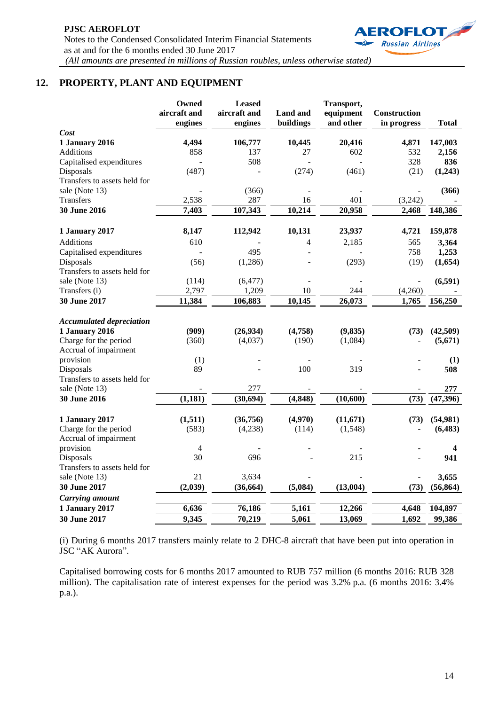

# **12. PROPERTY, PLANT AND EQUIPMENT**

|                                                | Owned<br>aircraft and<br>engines | <b>Leased</b><br>aircraft and<br>engines | <b>Land and</b><br>buildings | Transport,<br>equipment<br>and other | Construction<br>in progress | <b>Total</b> |
|------------------------------------------------|----------------------------------|------------------------------------------|------------------------------|--------------------------------------|-----------------------------|--------------|
| Cost                                           |                                  |                                          |                              |                                      |                             |              |
| <b>1 January 2016</b>                          | 4,494                            | 106,777                                  | 10,445                       | 20,416                               | 4,871                       | 147,003      |
| <b>Additions</b>                               | 858                              | 137                                      | 27                           | 602                                  | 532                         | 2,156        |
| Capitalised expenditures                       |                                  | 508                                      |                              |                                      | 328                         | 836          |
| Disposals                                      | (487)                            |                                          | (274)                        | (461)                                | (21)                        | (1,243)      |
| Transfers to assets held for                   |                                  |                                          |                              |                                      |                             |              |
| sale (Note 13)                                 |                                  | (366)                                    |                              |                                      |                             | (366)        |
| Transfers                                      | 2,538                            | 287                                      | 16                           | 401                                  | (3,242)                     |              |
| 30 June 2016                                   | 7,403                            | 107,343                                  | 10,214                       | 20,958                               | 2,468                       | 148,386      |
| 1 January 2017                                 | 8,147                            | 112,942                                  | 10,131                       | 23,937                               | 4,721                       | 159,878      |
| Additions                                      | 610                              |                                          | 4                            | 2,185                                | 565                         | 3,364        |
| Capitalised expenditures                       |                                  | 495                                      |                              |                                      | 758                         | 1,253        |
| Disposals                                      | (56)                             | (1,286)                                  |                              | (293)                                | (19)                        | (1,654)      |
| Transfers to assets held for                   |                                  |                                          |                              |                                      |                             |              |
| sale (Note 13)                                 | (114)                            | (6, 477)                                 |                              |                                      |                             | (6, 591)     |
| Transfers (i)                                  | 2,797                            | 1,209                                    | 10                           | 244                                  | (4,260)                     |              |
| 30 June 2017                                   | 11,384                           | 106,883                                  | 10,145                       | 26,073                               | 1,765                       | 156,250      |
| <b>Accumulated depreciation</b>                |                                  |                                          |                              |                                      |                             |              |
| <b>1 January 2016</b>                          | (909)                            | (26, 934)                                | (4,758)                      | (9, 835)                             | (73)                        | (42,509)     |
| Charge for the period<br>Accrual of impairment | (360)                            | (4,037)                                  | (190)                        | (1,084)                              |                             | (5,671)      |
| provision                                      | (1)                              |                                          |                              |                                      |                             | (1)          |
| Disposals                                      | 89                               |                                          | 100                          | 319                                  |                             | 508          |
| Transfers to assets held for                   |                                  |                                          |                              |                                      |                             |              |
| sale (Note 13)                                 |                                  | 277                                      |                              |                                      |                             | 277          |
| 30 June 2016                                   | (1, 181)                         | (30.694)                                 | (4, 848)                     | (10, 600)                            | (73)                        | (47, 396)    |
| 1 January 2017                                 | (1,511)                          | (36,756)                                 | (4,970)                      | (11,671)                             | (73)                        | (54,981)     |
| Charge for the period                          | (583)                            | (4,238)                                  | (114)                        | (1,548)                              |                             | (6, 483)     |
| Accrual of impairment                          |                                  |                                          |                              |                                      |                             |              |
| provision                                      | 4                                |                                          |                              |                                      |                             | 4            |
| Disposals                                      | 30                               | 696                                      |                              | 215                                  |                             | 941          |
| Transfers to assets held for                   |                                  |                                          |                              |                                      |                             |              |
| sale (Note 13)                                 | 21                               | 3,634                                    |                              |                                      |                             | 3,655        |
| <b>30 June 2017</b>                            | (2,039)                          | (36, 664)                                | (5,084)                      | (13,004)                             | (73)                        | (56, 864)    |
| <b>Carrying amount</b>                         |                                  |                                          |                              |                                      |                             |              |
| <b>1 January 2017</b>                          | 6,636                            | 76,186                                   | 5,161                        | 12,266                               | 4,648                       | 104,897      |
| 30 June 2017                                   | 9,345                            | 70,219                                   | 5,061                        | 13,069                               | 1,692                       | 99,386       |

(i) During 6 months 2017 transfers mainly relate to 2 DHC-8 aircraft that have been put into operation in JSC "AK Aurora".

Capitalised borrowing costs for 6 months 2017 amounted to RUB 757 million (6 months 2016: RUB 328 million). The capitalisation rate of interest expenses for the period was 3.2% p.a. (6 months 2016: 3.4% p.a.).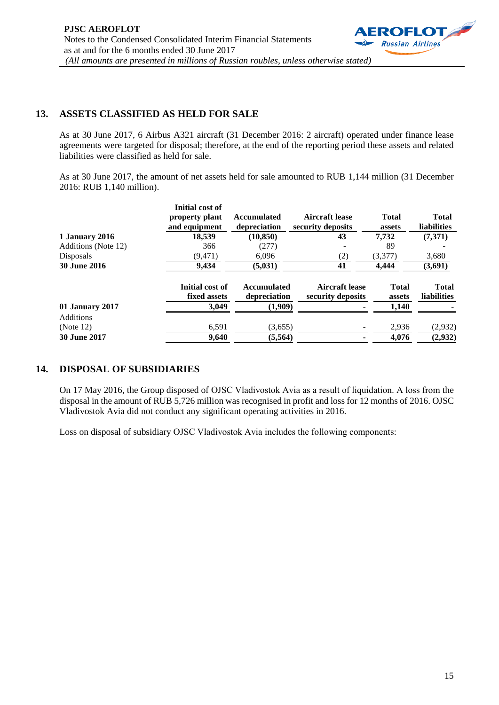

### **13. ASSETS CLASSIFIED AS HELD FOR SALE**

As at 30 June 2017, 6 Airbus A321 aircraft (31 December 2016: 2 aircraft) operated under finance lease agreements were targeted for disposal; therefore, at the end of the reporting period these assets and related liabilities were classified as held for sale.

As at 30 June 2017, the amount of net assets held for sale amounted to RUB 1,144 million (31 December 2016: RUB 1,140 million).

|                     | Initial cost of<br>property plant<br>and equipment | <b>Accumulated</b><br>depreciation | <b>Aircraft lease</b><br>security deposits | <b>Total</b><br>assets | <b>Total</b><br><b>liabilities</b> |
|---------------------|----------------------------------------------------|------------------------------------|--------------------------------------------|------------------------|------------------------------------|
| 1 January 2016      | 18.539                                             | (10, 850)                          | 43                                         | 7,732                  | (7,371)                            |
| Additions (Note 12) | 366                                                | (277)                              |                                            | 89                     |                                    |
| Disposals           | (9, 471)                                           | 6,096                              | (2)                                        | (3,377)                | 3,680                              |
| <b>30 June 2016</b> | 9,434                                              | (5,031)                            | 41                                         | 4,444                  | (3,691)                            |
|                     | Initial cost of<br>fixed assets                    | <b>Accumulated</b><br>depreciation | Aircraft lease<br>security deposits        | <b>Total</b><br>assets | <b>Total</b><br><b>liabilities</b> |
| 01 January 2017     | 3,049                                              | (1,909)                            |                                            | 1,140                  |                                    |
| <b>Additions</b>    |                                                    |                                    |                                            |                        |                                    |
| (Note 12)           | 6,591                                              | (3,655)                            |                                            | 2,936                  | (2,932)                            |
| <b>30 June 2017</b> | 9,640                                              | (5,564)                            |                                            | 4,076                  | (2,932)                            |

# **14. DISPOSAL OF SUBSIDIARIES**

On 17 May 2016, the Group disposed of ОJSC Vladivostok Avia as a result of liquidation. A loss from the disposal in the amount of RUB 5,726 million was recognised in profit and loss for 12 months of 2016. OJSC Vladivostok Avia did not conduct any significant operating activities in 2016.

Loss on disposal of subsidiary ОJSC Vladivostok Avia includes the following components: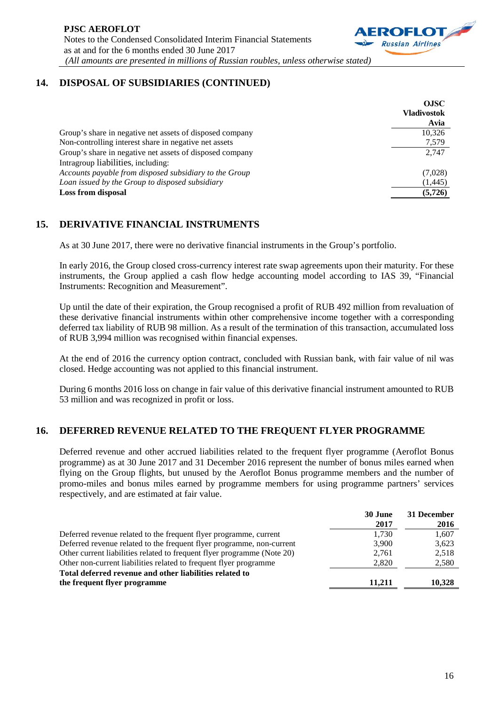

# **14. DISPOSAL OF SUBSIDIARIES (CONTINUED)**

|                                                          | <b>OJSC</b>        |
|----------------------------------------------------------|--------------------|
|                                                          | <b>Vladivostok</b> |
|                                                          | Avia               |
| Group's share in negative net assets of disposed company | 10.326             |
| Non-controlling interest share in negative net assets    | 7,579              |
| Group's share in negative net assets of disposed company | 2.747              |
| Intragroup liabilities, including:                       |                    |
| Accounts payable from disposed subsidiary to the Group   | (7,028)            |
| Loan issued by the Group to disposed subsidiary          | (1, 445)           |
| <b>Loss from disposal</b>                                | (5, 726)           |

## **15. DERIVATIVE FINANCIAL INSTRUMENTS**

As at 30 June 2017, there were no derivative financial instruments in the Group's portfolio.

In early 2016, the Group closed cross-currency interest rate swap agreements upon their maturity. For these instruments, the Group applied a cash flow hedge accounting model according to IAS 39, "Financial Instruments: Recognition and Measurement".

Up until the date of their expiration, the Group recognised a profit of RUB 492 million from revaluation of these derivative financial instruments within other comprehensive income together with a corresponding deferred tax liability of RUB 98 million. As a result of the termination of this transaction, accumulated loss of RUB 3,994 million was recognised within financial expenses.

At the end of 2016 the currency option contract, concluded with Russian bank, with fair value of nil was closed. Hedge accounting was not applied to this financial instrument.

During 6 months 2016 loss on change in fair value of this derivative financial instrument amounted to RUB 53 million and was recognized in profit or loss.

### **16. DEFERRED REVENUE RELATED TO THE FREQUENT FLYER PROGRAMME**

Deferred revenue and other accrued liabilities related to the frequent flyer programme (Aeroflot Bonus programme) as at 30 June 2017 and 31 December 2016 represent the number of bonus miles earned when flying on the Group flights, but unused by the Aeroflot Bonus programme members and the number of promo-miles and bonus miles earned by programme members for using programme partners' services respectively, and are estimated at fair value.

|                                                                         | 30 June | 31 December |
|-------------------------------------------------------------------------|---------|-------------|
|                                                                         | 2017    | 2016        |
| Deferred revenue related to the frequent flyer programme, current       | 1,730   | 1,607       |
| Deferred revenue related to the frequent flyer programme, non-current   | 3,900   | 3,623       |
| Other current liabilities related to frequent flyer programme (Note 20) | 2.761   | 2,518       |
| Other non-current liabilities related to frequent flyer programme       | 2.820   | 2,580       |
| Total deferred revenue and other liabilities related to                 |         |             |
| the frequent flyer programme                                            | 11.211  | 10,328      |
|                                                                         |         |             |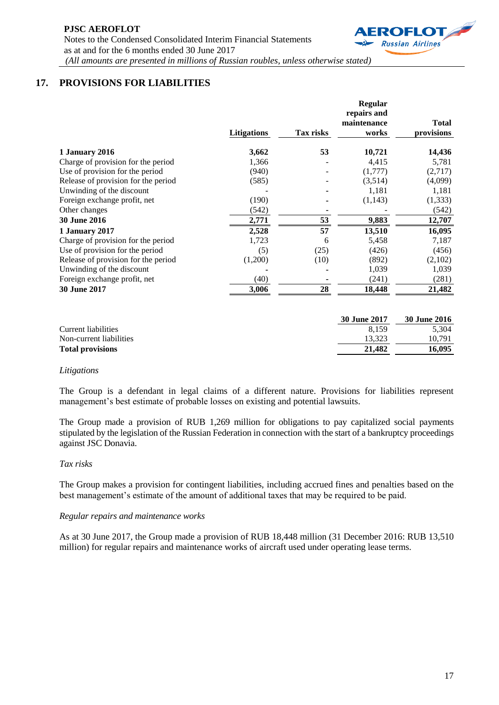

# **17. PROVISIONS FOR LIABILITIES**

|                                     |                    |           | <b>Regular</b><br>repairs and<br>maintenance | <b>Total</b> |
|-------------------------------------|--------------------|-----------|----------------------------------------------|--------------|
|                                     | <b>Litigations</b> | Tax risks | works                                        | provisions   |
| 1 January 2016                      | 3,662              | 53        | 10,721                                       | 14,436       |
| Charge of provision for the period  | 1,366              |           | 4,415                                        | 5,781        |
| Use of provision for the period     | (940)              |           | (1,777)                                      | (2,717)      |
| Release of provision for the period | (585)              |           | (3,514)                                      | (4,099)      |
| Unwinding of the discount           |                    |           | 1,181                                        | 1,181        |
| Foreign exchange profit, net        | (190)              |           | (1,143)                                      | (1, 333)     |
| Other changes                       | (542)              |           |                                              | (542)        |
| <b>30 June 2016</b>                 | 2,771              | 53        | 9,883                                        | 12,707       |
| 1 January 2017                      | 2,528              | 57        | 13,510                                       | 16,095       |
| Charge of provision for the period  | 1,723              | 6         | 5,458                                        | 7,187        |
| Use of provision for the period     | (5)                | (25)      | (426)                                        | (456)        |
| Release of provision for the period | (1,200)            | (10)      | (892)                                        | (2,102)      |
| Unwinding of the discount           |                    |           | 1,039                                        | 1,039        |
| Foreign exchange profit, net        | (40)               |           | (241)                                        | (281)        |
| 30 June 2017                        | 3,006              | 28        | 18,448                                       | 21,482       |

|                         | 30 June 2017 | <b>30 June 2016</b> |
|-------------------------|--------------|---------------------|
| Current liabilities     | 8.159        | 5.304               |
| Non-current liabilities | 13.323       | 10.791              |
| <b>Total provisions</b> | 21.482       | 16.095              |

### *Litigations*

The Group is a defendant in legal claims of a different nature. Provisions for liabilities represent management's best estimate of probable losses on existing and potential lawsuits.

The Group made a provision of RUB 1,269 million for obligations to pay capitalized social payments stipulated by the legislation of the Russian Federation in connection with the start of a bankruptcy proceedings against JSC Donavia.

#### *Tax risks*

The Group makes a provision for contingent liabilities, including accrued fines and penalties based on the best management's estimate of the amount of additional taxes that may be required to be paid.

#### *Regular repairs and maintenance works*

As at 30 June 2017, the Group made a provision of RUB 18,448 million (31 December 2016: RUB 13,510 million) for regular repairs and maintenance works of aircraft used under operating lease terms.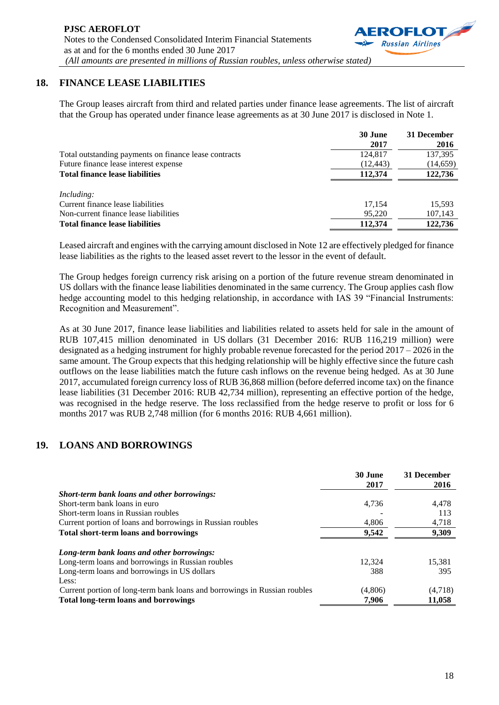

The Group leases aircraft from third and related parties under finance lease agreements. The list of aircraft that the Group has operated under finance lease agreements as at 30 June 2017 is disclosed in Note 1.

|                                                       | 30 June   | 31 December |
|-------------------------------------------------------|-----------|-------------|
|                                                       | 2017      | 2016        |
| Total outstanding payments on finance lease contracts | 124,817   | 137,395     |
| Future finance lease interest expense                 | (12, 443) | (14, 659)   |
| <b>Total finance lease liabilities</b>                | 112,374   | 122,736     |
| <i>Including:</i>                                     |           |             |
| Current finance lease liabilities                     | 17.154    | 15.593      |
| Non-current finance lease liabilities                 | 95.220    | 107,143     |
| <b>Total finance lease liabilities</b>                | 112,374   | 122,736     |

Leased aircraft and engines with the carrying amount disclosed in Note 12 are effectively pledged for finance lease liabilities as the rights to the leased asset revert to the lessor in the event of default.

The Group hedges foreign currency risk arising on a portion of the future revenue stream denominated in US dollars with the finance lease liabilities denominated in the same currency. The Group applies cash flow hedge accounting model to this hedging relationship, in accordance with IAS 39 "Financial Instruments: Recognition and Measurement".

As at 30 June 2017, finance lease liabilities and liabilities related to assets held for sale in the amount of RUB 107,415 million denominated in US dollars (31 December 2016: RUB 116,219 million) were designated as a hedging instrument for highly probable revenue forecasted for the period 2017 – 2026 in the same amount. The Group expects that this hedging relationship will be highly effective since the future cash outflows on the lease liabilities match the future cash inflows on the revenue being hedged. As at 30 June 2017, accumulated foreign currency loss of RUB 36,868 million (before deferred income tax) on the finance lease liabilities (31 December 2016: RUB 42,734 million), representing an effective portion of the hedge, was recognised in the hedge reserve. The loss reclassified from the hedge reserve to profit or loss for 6 months 2017 was RUB 2,748 million (for 6 months 2016: RUB 4,661 million).

# **19. LOANS AND BORROWINGS**

|                                                                           | 30 June<br>2017 | 31 December<br>2016 |
|---------------------------------------------------------------------------|-----------------|---------------------|
| <b>Short-term bank loans and other borrowings:</b>                        |                 |                     |
| Short-term bank loans in euro                                             | 4.736           | 4,478               |
| Short-term loans in Russian roubles                                       |                 | 113                 |
| Current portion of loans and borrowings in Russian roubles                | 4.806           | 4,718               |
| Total short-term loans and borrowings                                     | 9,542           | 9,309               |
| Long-term bank loans and other borrowings:                                |                 |                     |
| Long-term loans and borrowings in Russian roubles                         | 12.324          | 15,381              |
| Long-term loans and borrowings in US dollars                              | 388             | 395                 |
| Less:                                                                     |                 |                     |
| Current portion of long-term bank loans and borrowings in Russian roubles | (4,806)         | (4,718)             |
| <b>Total long-term loans and borrowings</b>                               | 7,906           | 11,058              |

**ROFLOT Russian Airlines**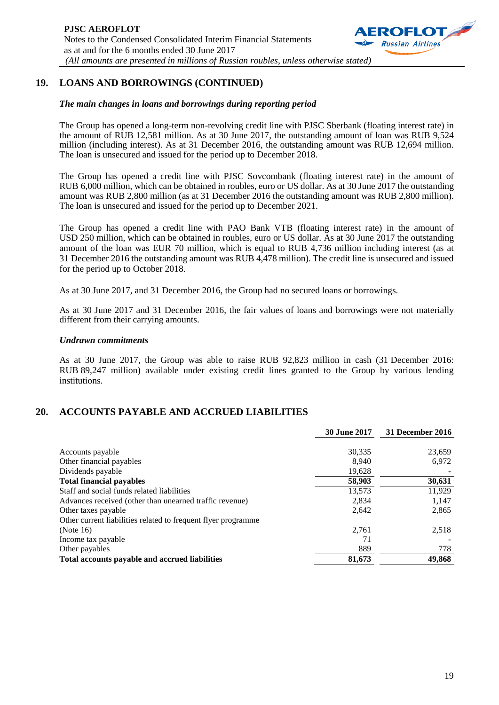

# **19. LOANS AND BORROWINGS (CONTINUED)**

#### *The main changes in loans and borrowings during reporting period*

The Group has opened a long-term non-revolving credit line with PJSC Sberbank (floating interest rate) in the amount of RUB 12,581 million. As at 30 June 2017, the outstanding amount of loan was RUB 9,524 million (including interest). As at 31 December 2016, the outstanding amount was RUB 12,694 million. The loan is unsecured and issued for the period up to December 2018.

The Group has opened a credit line with PJSC Sovcombank (floating interest rate) in the amount of RUB 6,000 million, which can be obtained in roubles, euro or US dollar. As at 30 June 2017 the outstanding amount was RUB 2,800 million (as at 31 December 2016 the outstanding amount was RUB 2,800 million). The loan is unsecured and issued for the period up to December 2021.

The Group has opened a credit line with PAO Bank VTB (floating interest rate) in the amount of USD 250 million, which can be obtained in roubles, euro or US dollar. As at 30 June 2017 the outstanding amount of the loan was EUR 70 million, which is equal to RUB 4,736 million including interest (as at 31 December 2016 the outstanding amount was RUB 4,478 million). The credit line is unsecured and issued for the period up to October 2018.

As at 30 June 2017, and 31 December 2016, the Group had no secured loans or borrowings.

As at 30 June 2017 and 31 December 2016, the fair values of loans and borrowings were not materially different from their carrying amounts.

#### *Undrawn commitments*

As at 30 June 2017, the Group was able to raise RUB 92,823 million in cash (31 December 2016: RUB 89,247 million) available under existing credit lines granted to the Group by various lending institutions.

### **20. ACCOUNTS PAYABLE AND ACCRUED LIABILITIES**

|                                                               | <b>30 June 2017</b> | 31 December 2016 |
|---------------------------------------------------------------|---------------------|------------------|
|                                                               |                     |                  |
| Accounts payable                                              | 30,335              | 23,659           |
| Other financial payables                                      | 8.940               | 6,972            |
| Dividends payable                                             | 19,628              |                  |
| <b>Total financial payables</b>                               | 58,903              | 30,631           |
| Staff and social funds related liabilities                    | 13.573              | 11,929           |
| Advances received (other than unearned traffic revenue)       | 2,834               | 1,147            |
| Other taxes payable                                           | 2,642               | 2,865            |
| Other current liabilities related to frequent flyer programme |                     |                  |
| (Note $16$ )                                                  | 2,761               | 2,518            |
| Income tax payable                                            | 71                  |                  |
| Other payables                                                | 889                 | 778              |
| Total accounts payable and accrued liabilities                | 81,673              | 49,868           |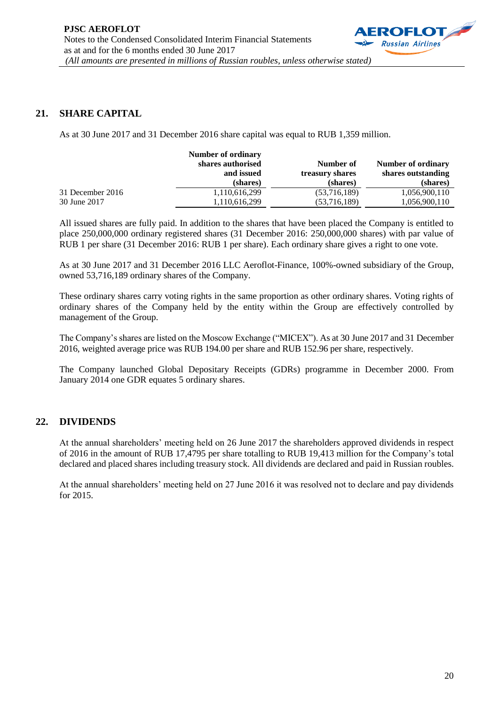

### **21. SHARE CAPITAL**

As at 30 June 2017 and 31 December 2016 share capital was equal to RUB 1,359 million.

|                  | Number of ordinary<br>shares authorised | Number of       | Number of ordinary |
|------------------|-----------------------------------------|-----------------|--------------------|
|                  | and issued                              | treasury shares | shares outstanding |
|                  | (shares)                                | (shares)        | (shares)           |
| 31 December 2016 | 1,110,616,299                           | (53,716,189)    | 1,056,900,110      |
| 30 June 2017     | 1,110,616,299                           | (53,716,189)    | 1,056,900,110      |

All issued shares are fully paid. In addition to the shares that have been placed the Company is entitled to place 250,000,000 ordinary registered shares (31 December 2016: 250,000,000 shares) with par value of RUB 1 per share (31 December 2016: RUB 1 per share). Each ordinary share gives a right to one vote.

As at 30 June 2017 and 31 December 2016 LLC Aeroflot-Finance, 100%-owned subsidiary of the Group, owned 53,716,189 ordinary shares of the Company.

These ordinary shares carry voting rights in the same proportion as other ordinary shares. Voting rights of ordinary shares of the Company held by the entity within the Group are effectively controlled by management of the Group.

The Company's shares are listed on the Moscow Exchange ("MICEX"). As at 30 June 2017 and 31 December 2016, weighted average price was RUB 194.00 per share and RUB 152.96 per share, respectively.

The Company launched Global Depositary Receipts (GDRs) programme in December 2000. From January 2014 one GDR equates 5 ordinary shares.

### **22. DIVIDENDS**

At the annual shareholders' meeting held on 26 June 2017 the shareholders approved dividends in respect of 2016 in the amount of RUB 17,4795 per share totalling to RUB 19,413 million for the Company's total declared and placed shares including treasury stock. All dividends are declared and paid in Russian roubles.

At the annual shareholders' meeting held on 27 June 2016 it was resolved not to declare and pay dividends for 2015.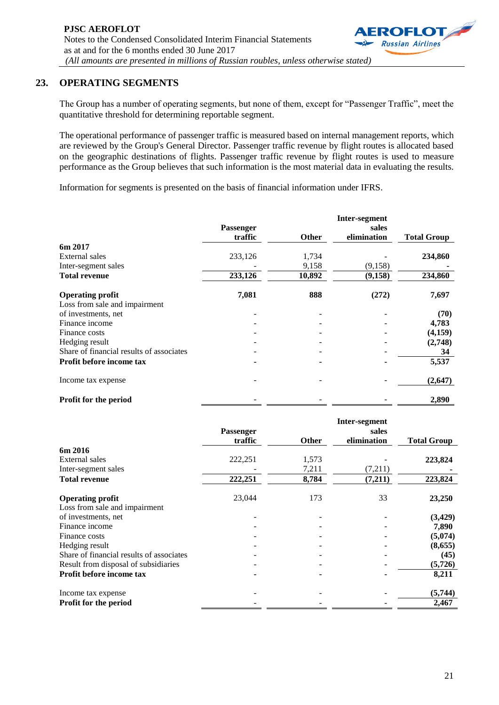## **23. OPERATING SEGMENTS**

The Group has a number of operating segments, but none of them, except for "Passenger Traffic", meet the quantitative threshold for determining reportable segment.

The operational performance of passenger traffic is measured based on internal management reports, which are reviewed by the Group's General Director. Passenger traffic revenue by flight routes is allocated based on the geographic destinations of flights. Passenger traffic revenue by flight routes is used to measure performance as the Group believes that such information is the most material data in evaluating the results.

Information for segments is presented on the basis of financial information under IFRS.

|                                          |                  |              | Inter-segment |                    |
|------------------------------------------|------------------|--------------|---------------|--------------------|
|                                          | <b>Passenger</b> |              | sales         |                    |
|                                          | traffic          | <b>Other</b> | elimination   | <b>Total Group</b> |
| 6m 2017                                  |                  |              |               |                    |
| External sales                           | 233,126          | 1,734        |               | 234,860            |
| Inter-segment sales                      |                  | 9,158        | (9, 158)      |                    |
| <b>Total revenue</b>                     | 233,126          | 10,892       | (9, 158)      | 234,860            |
| <b>Operating profit</b>                  | 7,081            | 888          | (272)         | 7,697              |
| Loss from sale and impairment            |                  |              |               |                    |
| of investments, net                      |                  |              |               | (70)               |
| Finance income                           |                  |              |               | 4,783              |
| Finance costs                            |                  |              |               | (4,159)            |
| Hedging result                           |                  |              |               | (2,748)            |
| Share of financial results of associates |                  |              |               | 34                 |
| Profit before income tax                 |                  |              |               | 5,537              |
| Income tax expense                       |                  |              |               | (2,647)            |
| Profit for the period                    |                  |              |               | 2,890              |

|                                          |                  |              | Inter-segment |                    |
|------------------------------------------|------------------|--------------|---------------|--------------------|
|                                          | <b>Passenger</b> |              | sales         |                    |
|                                          | traffic          | <b>Other</b> | elimination   | <b>Total Group</b> |
| 6m 2016                                  |                  |              |               |                    |
| External sales                           | 222,251          | 1,573        |               | 223,824            |
| Inter-segment sales                      |                  | 7,211        | (7,211)       |                    |
| <b>Total revenue</b>                     | 222,251          | 8,784        | (7,211)       | 223,824            |
| <b>Operating profit</b>                  | 23,044           | 173          | 33            | 23,250             |
| Loss from sale and impairment            |                  |              |               |                    |
| of investments, net                      |                  |              |               | (3,429)            |
| Finance income                           |                  |              |               | 7,890              |
| Finance costs                            |                  |              |               | (5,074)            |
| Hedging result                           |                  |              |               | (8,655)            |
| Share of financial results of associates |                  |              |               | (45)               |
| Result from disposal of subsidiaries     |                  |              |               | (5,726)            |
| Profit before income tax                 |                  |              |               | 8,211              |
| Income tax expense                       |                  |              |               | (5,744)            |
| Profit for the period                    |                  |              |               | 2,467              |

**ROFLOT Russian Airlines**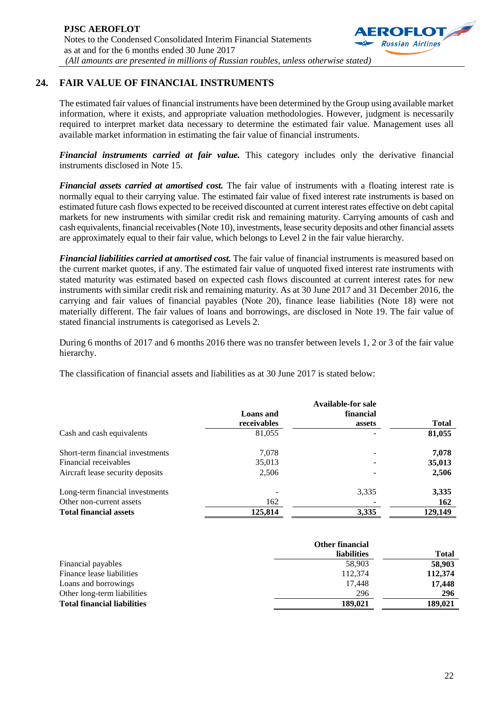

# **24. FAIR VALUE OF FINANCIAL INSTRUMENTS**

The estimated fair values of financial instruments have been determined by the Group using available market information, where it exists, and appropriate valuation methodologies. However, judgment is necessarily required to interpret market data necessary to determine the estimated fair value. Management uses all available market information in estimating the fair value of financial instruments.

*Financial instruments carried at fair value.* This category includes only the derivative financial instruments disclosed in Note 15.

*Financial assets carried at amortised cost.* The fair value of instruments with a floating interest rate is normally equal to their carrying value. The estimated fair value of fixed interest rate instruments is based on estimated future cash flows expected to be received discounted at current interest rates effective on debt capital markets for new instruments with similar credit risk and remaining maturity. Carrying amounts of cash and cash equivalents, financial receivables(Note 10), investments, lease security deposits and other financial assets are approximately equal to their fair value, which belongs to Level 2 in the fair value hierarchy.

*Financial liabilities carried at amortised cost.* The fair value of financial instruments is measured based on the current market quotes, if any. The estimated fair value of unquoted fixed interest rate instruments with stated maturity was estimated based on expected cash flows discounted at current interest rates for new instruments with similar credit risk and remaining maturity. As at 30 June 2017 and 31 December 2016, the carrying and fair values of financial payables (Note 20), finance lease liabilities (Note 18) were not materially different. The fair values of loans and borrowings, are disclosed in Note 19. The fair value of stated financial instruments is categorised as Levels 2.

During 6 months of 2017 and 6 months 2016 there was no transfer between levels 1, 2 or 3 of the fair value hierarchy.

The classification of financial assets and liabilities as at 30 June 2017 is stated below:

|                                  |             | <b>Available-for sale</b> |              |
|----------------------------------|-------------|---------------------------|--------------|
|                                  | Loans and   | financial                 |              |
|                                  | receivables | assets                    | <b>Total</b> |
| Cash and cash equivalents        | 81,055      |                           | 81,055       |
| Short-term financial investments | 7.078       | $\overline{\phantom{a}}$  | 7,078        |
| Financial receivables            | 35,013      |                           | 35,013       |
| Aircraft lease security deposits | 2,506       |                           | 2,506        |
| Long-term financial investments  |             | 3,335                     | 3,335        |
| Other non-current assets         | 162         |                           | 162          |
| <b>Total financial assets</b>    | 125,814     | 3,335                     | 129,149      |

|                                    | <b>Other financial</b> |              |
|------------------------------------|------------------------|--------------|
|                                    | <b>liabilities</b>     | <b>Total</b> |
| Financial payables                 | 58,903                 | 58,903       |
| Finance lease liabilities          | 112,374                | 112,374      |
| Loans and borrowings               | 17.448                 | 17,448       |
| Other long-term liabilities        | 296                    | 296          |
| <b>Total financial liabilities</b> | 189.021                | 189.021      |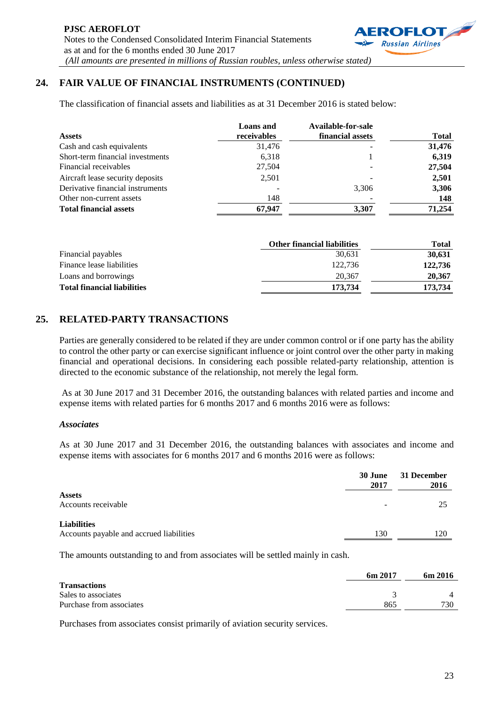

The classification of financial assets and liabilities as at 31 December 2016 is stated below:

|                                  | <b>Loans</b> and | Available-for-sale |              |
|----------------------------------|------------------|--------------------|--------------|
| <b>Assets</b>                    | receivables      | financial assets   | <b>Total</b> |
| Cash and cash equivalents        | 31,476           |                    | 31,476       |
| Short-term financial investments | 6,318            |                    | 6,319        |
| Financial receivables            | 27,504           |                    | 27,504       |
| Aircraft lease security deposits | 2,501            |                    | 2,501        |
| Derivative financial instruments |                  | 3.306              | 3,306        |
| Other non-current assets         | 148              |                    | 148          |
| <b>Total financial assets</b>    | 67,947           | 3,307              | 71,254       |

|                                    | <b>Other financial liabilities</b> | <b>Total</b> |
|------------------------------------|------------------------------------|--------------|
| Financial payables                 | 30,631                             | 30,631       |
| Finance lease liabilities          | 122,736                            | 122,736      |
| Loans and borrowings               | 20,367                             | 20,367       |
| <b>Total financial liabilities</b> | 173,734                            | 173,734      |

# **25. RELATED-PARTY TRANSACTIONS**

Parties are generally considered to be related if they are under common control or if one party has the ability to control the other party or can exercise significant influence or joint control over the other party in making financial and operational decisions. In considering each possible related-party relationship, attention is directed to the economic substance of the relationship, not merely the legal form.

As at 30 June 2017 and 31 December 2016, the outstanding balances with related parties and income and expense items with related parties for 6 months 2017 and 6 months 2016 were as follows:

#### *Associates*

As at 30 June 2017 and 31 December 2016, the outstanding balances with associates and income and expense items with associates for 6 months 2017 and 6 months 2016 were as follows:

|                                                                | 30 June<br>2017 | 31 December<br>2016 |
|----------------------------------------------------------------|-----------------|---------------------|
| <b>Assets</b><br>Accounts receivable                           |                 | 25                  |
| <b>Liabilities</b><br>Accounts payable and accrued liabilities | 130             | 120                 |

The amounts outstanding to and from associates will be settled mainly in cash.

|                          | 6m2017 | 6m 2016 |
|--------------------------|--------|---------|
| <b>Transactions</b>      |        |         |
| Sales to associates      |        |         |
| Purchase from associates | 865    | 730     |

Purchases from associates consist primarily of aviation security services.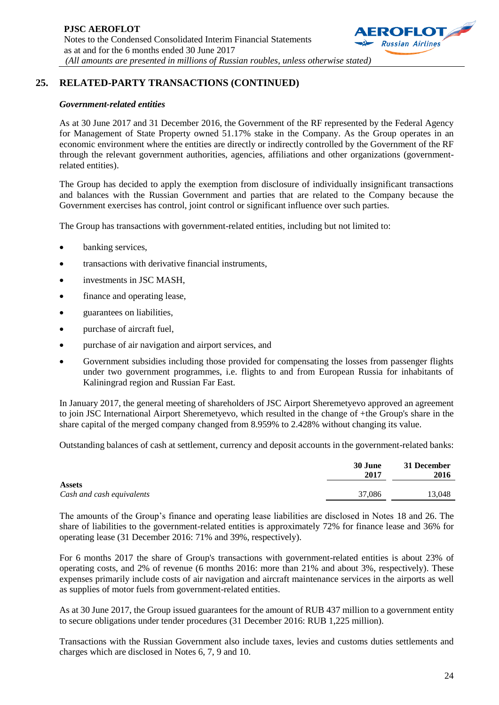

# **25. RELATED-PARTY TRANSACTIONS (CONTINUED)**

### *Government-related entities*

As at 30 June 2017 and 31 December 2016, the Government of the RF represented by the Federal Agency for Management of State Property owned 51.17% stake in the Company. As the Group operates in an economic environment where the entities are directly or indirectly controlled by the Government of the RF through the relevant government authorities, agencies, affiliations and other organizations (governmentrelated entities).

The Group has decided to apply the exemption from disclosure of individually insignificant transactions and balances with the Russian Government and parties that are related to the Company because the Government exercises has control, joint control or significant influence over such parties.

The Group has transactions with government-related entities, including but not limited to:

- banking services,
- transactions with derivative financial instruments,
- investments in JSC MASH,
- finance and operating lease,
- guarantees on liabilities,
- purchase of aircraft fuel,
- purchase of air navigation and airport services, and
- Government subsidies including those provided for compensating the losses from passenger flights under two government programmes, i.e. flights to and from European Russia for inhabitants of Kaliningrad region and Russian Far East.

In January 2017, the general meeting of shareholders of JSC Airport Sheremetyevo approved an agreement to join JSC International Airport Sheremetyevo, which resulted in the change of +the Group's share in the share capital of the merged company changed from 8.959% to 2.428% without changing its value.

Outstanding balances of cash at settlement, currency and deposit accounts in the government-related banks:

|                                            | 30 June<br>2017 | 31 December<br>2016 |
|--------------------------------------------|-----------------|---------------------|
| <b>Assets</b><br>Cash and cash equivalents | 37,086          | 13,048              |

The amounts of the Group's finance and operating lease liabilities are disclosed in Notes 18 and 26. The share of liabilities to the government-related entities is approximately 72% for finance lease and 36% for operating lease (31 December 2016: 71% and 39%, respectively).

For 6 months 2017 the share of Group's transactions with government-related entities is about 23% of operating costs, and 2% of revenue (6 months 2016: more than 21% and about 3%, respectively). These expenses primarily include costs of air navigation and aircraft maintenance services in the airports as well as supplies of motor fuels from government-related entities.

As at 30 June 2017, the Group issued guarantees for the amount of RUB 437 million to a government entity to secure obligations under tender procedures (31 December 2016: RUB 1,225 million).

Transactions with the Russian Government also include taxes, levies and customs duties settlements and charges which are disclosed in Notes 6, 7, 9 and 10.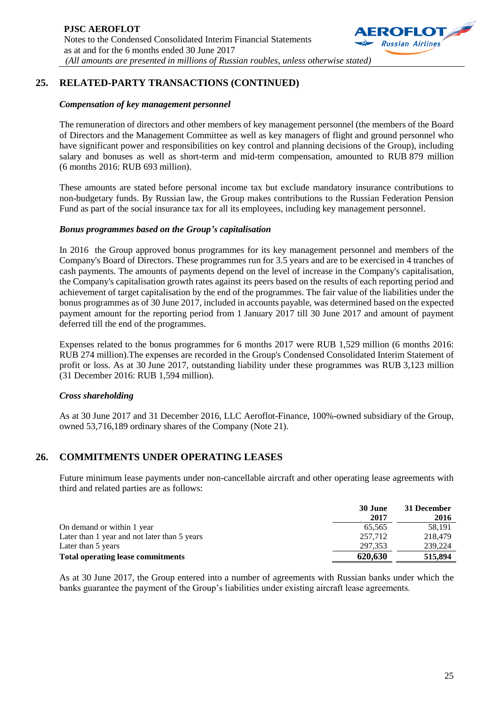

## **25. RELATED-PARTY TRANSACTIONS (CONTINUED)**

#### *Compensation of key management personnel*

The remuneration of directors and other members of key management personnel (the members of the Board of Directors and the Management Committee as well as key managers of flight and ground personnel who have significant power and responsibilities on key control and planning decisions of the Group), including salary and bonuses as well as short-term and mid-term compensation, amounted to RUB 879 million (6 months 2016: RUB 693 million).

These amounts are stated before personal income tax but exclude mandatory insurance contributions to non-budgetary funds. By Russian law, the Group makes contributions to the Russian Federation Pension Fund as part of the social insurance tax for all its employees, including key management personnel.

#### *Bonus programmes based on the Group's capitalisation*

In 2016 the Group approved bonus programmes for its key management personnel and members of the Company's Board of Directors. These programmes run for 3.5 years and are to be exercised in 4 tranches of cash payments. The amounts of payments depend on the level of increase in the Company's capitalisation, the Company's capitalisation growth rates against its peers based on the results of each reporting period and achievement of target capitalisation by the end of the programmes. The fair value of the liabilities under the bonus programmes as of 30 June 2017, included in accounts payable, was determined based on the expected payment amount for the reporting period from 1 January 2017 till 30 June 2017 and amount of payment deferred till the end of the programmes.

Expenses related to the bonus programmes for 6 months 2017 were RUB 1,529 million (6 months 2016: RUB 274 million).The expenses are recorded in the Group's Condensed Consolidated Interim Statement of profit or loss. As at 30 June 2017, outstanding liability under these programmes was RUB 3,123 million (31 December 2016: RUB 1,594 million).

#### *Cross shareholding*

As at 30 June 2017 and 31 December 2016, LLC Aeroflot-Finance, 100%-owned subsidiary of the Group, owned 53,716,189 ordinary shares of the Company (Note 21).

### **26. COMMITMENTS UNDER OPERATING LEASES**

Future minimum lease payments under non-cancellable aircraft and other operating lease agreements with third and related parties are as follows:

|                                              | 30 June<br>2017 | 31 December<br>2016 |
|----------------------------------------------|-----------------|---------------------|
| On demand or within 1 year                   | 65.565          | 58.191              |
| Later than 1 year and not later than 5 years | 257,712         | 218,479             |
| Later than 5 years                           | 297.353         | 239,224             |
| <b>Total operating lease commitments</b>     | 620,630         | 515,894             |

As at 30 June 2017, the Group entered into a number of agreements with Russian banks under which the banks guarantee the payment of the Group's liabilities under existing aircraft lease agreements.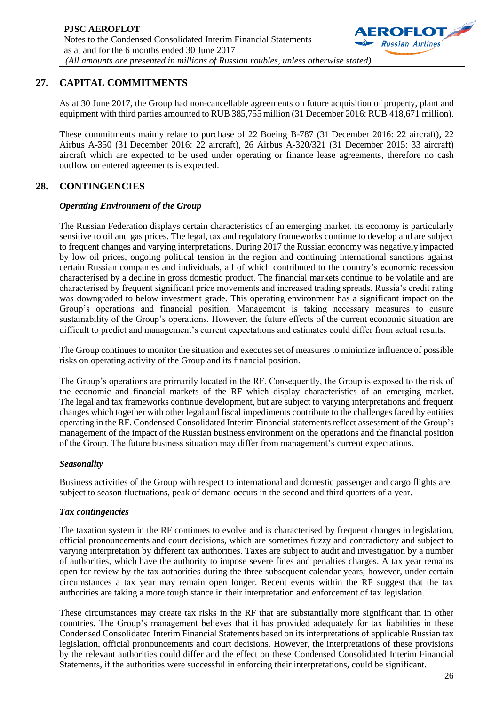

# **27. CAPITAL COMMITMENTS**

As at 30 June 2017, the Group had non-cancellable agreements on future acquisition of property, plant and equipment with third parties amounted to RUB 385,755 million (31 December 2016: RUB 418,671 million).

These commitments mainly relate to purchase of 22 Boeing B-787 (31 December 2016: 22 aircraft), 22 Airbus A-350 (31 December 2016: 22 aircraft), 26 Airbus A-320/321 (31 December 2015: 33 aircraft) aircraft which are expected to be used under operating or finance lease agreements, therefore no cash outflow on entered agreements is expected.

# **28. CONTINGENCIES**

### *Operating Environment of the Group*

The Russian Federation displays certain characteristics of an emerging market. Its economy is particularly sensitive to oil and gas prices. The legal, tax and regulatory frameworks continue to develop and are subject to frequent changes and varying interpretations. During 2017 the Russian economy was negatively impacted by low oil prices, ongoing political tension in the region and continuing international sanctions against certain Russian companies and individuals, all of which contributed to the country's economic recession characterised by a decline in gross domestic product. The financial markets continue to be volatile and are characterised by frequent significant price movements and increased trading spreads. Russia's credit rating was downgraded to below investment grade. This operating environment has a significant impact on the Group's operations and financial position. Management is taking necessary measures to ensure sustainability of the Group's operations. However, the future effects of the current economic situation are difficult to predict and management's current expectations and estimates could differ from actual results.

The Group continues to monitor the situation and executes set of measures to minimize influence of possible risks on operating activity of the Group and its financial position.

The Group's operations are primarily located in the RF. Consequently, the Group is exposed to the risk of the economic and financial markets of the RF which display characteristics of an emerging market. The legal and tax frameworks continue development, but are subject to varying interpretations and frequent changes which together with other legal and fiscal impediments contribute to the challenges faced by entities operating in the RF. Condensed Consolidated Interim Financial statements reflect assessment of the Group's management of the impact of the Russian business environment on the operations and the financial position of the Group. The future business situation may differ from management's current expectations.

### *Seasonality*

Business activities of the Group with respect to international and domestic passenger and cargo flights are subject to season fluctuations, peak of demand occurs in the second and third quarters of a year.

### *Tax contingencies*

The taxation system in the RF continues to evolve and is characterised by frequent changes in legislation, official pronouncements and court decisions, which are sometimes fuzzy and contradictory and subject to varying interpretation by different tax authorities. Taxes are subject to audit and investigation by a number of authorities, which have the authority to impose severe fines and penalties charges. A tax year remains open for review by the tax authorities during the three subsequent calendar years; however, under certain circumstances a tax year may remain open longer. Recent events within the RF suggest that the tax authorities are taking a more tough stance in their interpretation and enforcement of tax legislation.

These circumstances may create tax risks in the RF that are substantially more significant than in other countries. The Group's management believes that it has provided adequately for tax liabilities in these Condensed Consolidated Interim Financial Statements based on its interpretations of applicable Russian tax legislation, official pronouncements and court decisions. However, the interpretations of these provisions by the relevant authorities could differ and the effect on these Condensed Consolidated Interim Financial Statements, if the authorities were successful in enforcing their interpretations, could be significant.